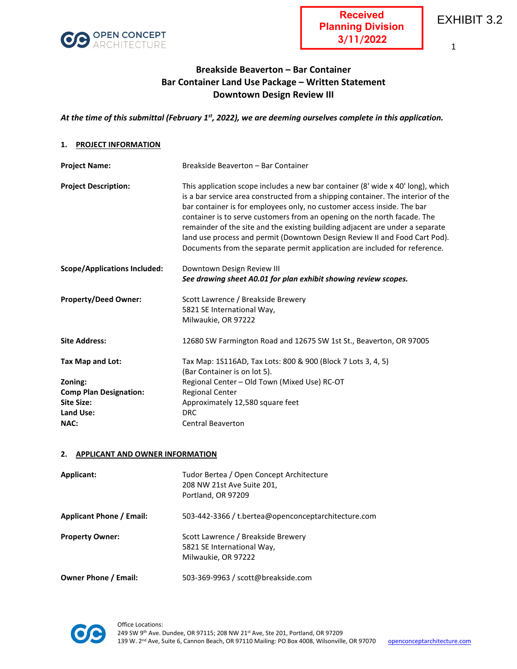

1

# **Breakside Beaverton – Bar Container Bar Container Land Use Package – Written Statement Downtown Design Review III**

# *At the time of this submittal (February 1st, 2022), we are deeming ourselves complete in this application.*

## **1. PROJECT INFORMATION**

| <b>Project Name:</b>                | Breakside Beaverton - Bar Container                                                                                                                                                                                                                                                                                                                                                                                                                                                                                                                                     |
|-------------------------------------|-------------------------------------------------------------------------------------------------------------------------------------------------------------------------------------------------------------------------------------------------------------------------------------------------------------------------------------------------------------------------------------------------------------------------------------------------------------------------------------------------------------------------------------------------------------------------|
| <b>Project Description:</b>         | This application scope includes a new bar container (8' wide x 40' long), which<br>is a bar service area constructed from a shipping container. The interior of the<br>bar container is for employees only, no customer access inside. The bar<br>container is to serve customers from an opening on the north facade. The<br>remainder of the site and the existing building adjacent are under a separate<br>land use process and permit (Downtown Design Review II and Food Cart Pod).<br>Documents from the separate permit application are included for reference. |
| <b>Scope/Applications Included:</b> | Downtown Design Review III                                                                                                                                                                                                                                                                                                                                                                                                                                                                                                                                              |
|                                     | See drawing sheet A0.01 for plan exhibit showing review scopes.                                                                                                                                                                                                                                                                                                                                                                                                                                                                                                         |
| <b>Property/Deed Owner:</b>         | Scott Lawrence / Breakside Brewery                                                                                                                                                                                                                                                                                                                                                                                                                                                                                                                                      |
|                                     | 5821 SE International Way,                                                                                                                                                                                                                                                                                                                                                                                                                                                                                                                                              |
|                                     | Milwaukie, OR 97222                                                                                                                                                                                                                                                                                                                                                                                                                                                                                                                                                     |
| <b>Site Address:</b>                | 12680 SW Farmington Road and 12675 SW 1st St., Beaverton, OR 97005                                                                                                                                                                                                                                                                                                                                                                                                                                                                                                      |
| Tax Map and Lot:                    | Tax Map: 1S116AD, Tax Lots: 800 & 900 (Block 7 Lots 3, 4, 5)                                                                                                                                                                                                                                                                                                                                                                                                                                                                                                            |
|                                     | (Bar Container is on lot 5).                                                                                                                                                                                                                                                                                                                                                                                                                                                                                                                                            |
| Zoning:                             | Regional Center - Old Town (Mixed Use) RC-OT                                                                                                                                                                                                                                                                                                                                                                                                                                                                                                                            |
| <b>Comp Plan Designation:</b>       | <b>Regional Center</b>                                                                                                                                                                                                                                                                                                                                                                                                                                                                                                                                                  |
| <b>Site Size:</b>                   | Approximately 12,580 square feet                                                                                                                                                                                                                                                                                                                                                                                                                                                                                                                                        |
| <b>Land Use:</b>                    | <b>DRC</b>                                                                                                                                                                                                                                                                                                                                                                                                                                                                                                                                                              |
| <b>NAC:</b>                         | <b>Central Beaverton</b>                                                                                                                                                                                                                                                                                                                                                                                                                                                                                                                                                |

#### **2. APPLICANT AND OWNER INFORMATION**

| Applicant:                      | Tudor Bertea / Open Concept Architecture<br>208 NW 21st Ave Suite 201,<br>Portland, OR 97209 |
|---------------------------------|----------------------------------------------------------------------------------------------|
| <b>Applicant Phone / Email:</b> | 503-442-3366 / t.bertea@openconceptarchitecture.com                                          |
| <b>Property Owner:</b>          | Scott Lawrence / Breakside Brewery<br>5821 SE International Way,<br>Milwaukie, OR 97222      |
| <b>Owner Phone / Email:</b>     | 503-369-9963 / scott@breakside.com                                                           |

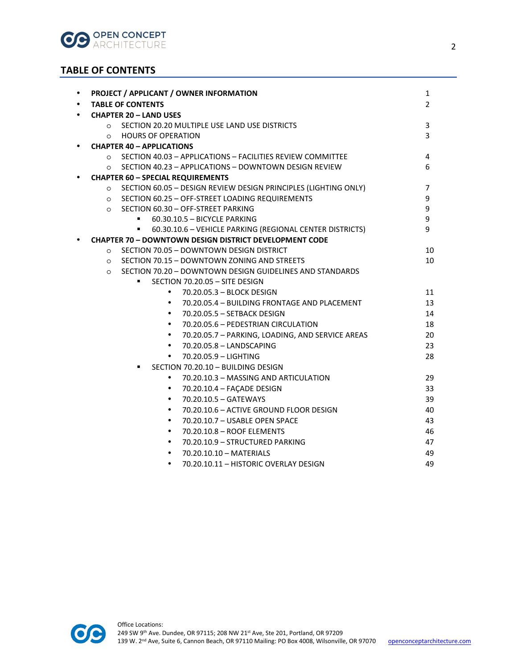

# **TABLE OF CONTENTS**

| $\bullet$                          | PROJECT / APPLICANT / OWNER INFORMATION                                    | 1              |  |  |  |  |
|------------------------------------|----------------------------------------------------------------------------|----------------|--|--|--|--|
| $\bullet$                          | <b>TABLE OF CONTENTS</b>                                                   | 2              |  |  |  |  |
| $\bullet$                          | <b>CHAPTER 20 - LAND USES</b>                                              |                |  |  |  |  |
|                                    | O SECTION 20.20 MULTIPLE USE LAND USE DISTRICTS                            | 3              |  |  |  |  |
|                                    | <b>HOURS OF OPERATION</b><br>$\circ$                                       | 3              |  |  |  |  |
| $\bullet$                          | <b>CHAPTER 40 - APPLICATIONS</b>                                           |                |  |  |  |  |
|                                    | SECTION 40.03 - APPLICATIONS - FACILITIES REVIEW COMMITTEE<br>$\Omega$     | $\overline{4}$ |  |  |  |  |
|                                    | SECTION 40.23 - APPLICATIONS - DOWNTOWN DESIGN REVIEW<br>$\circ$           | 6              |  |  |  |  |
| $\bullet$                          | <b>CHAPTER 60 - SPECIAL REQUIREMENTS</b>                                   |                |  |  |  |  |
|                                    | SECTION 60.05 - DESIGN REVIEW DESIGN PRINCIPLES (LIGHTING ONLY)<br>$\circ$ | $\overline{7}$ |  |  |  |  |
|                                    | SECTION 60.25 - OFF-STREET LOADING REQUIREMENTS<br>$\circ$                 | 9              |  |  |  |  |
|                                    | SECTION 60.30 - OFF-STREET PARKING<br>$\circ$                              | 9              |  |  |  |  |
|                                    | 60.30.10.5 - BICYCLE PARKING                                               | 9              |  |  |  |  |
|                                    | 60.30.10.6 - VEHICLE PARKING (REGIONAL CENTER DISTRICTS)<br>٠              | 9              |  |  |  |  |
| $\bullet$                          | <b>CHAPTER 70 - DOWNTOWN DESIGN DISTRICT DEVELOPMENT CODE</b>              |                |  |  |  |  |
|                                    | SECTION 70.05 - DOWNTOWN DESIGN DISTRICT<br>$\circ$                        | 10             |  |  |  |  |
|                                    | SECTION 70.15 - DOWNTOWN ZONING AND STREETS<br>$\circ$                     | 10             |  |  |  |  |
|                                    | SECTION 70.20 - DOWNTOWN DESIGN GUIDELINES AND STANDARDS<br>$\circ$        |                |  |  |  |  |
|                                    | SECTION 70.20.05 - SITE DESIGN                                             |                |  |  |  |  |
|                                    | 70.20.05.3 - BLOCK DESIGN<br>$\bullet$                                     | 11             |  |  |  |  |
|                                    | 70.20.05.4 - BUILDING FRONTAGE AND PLACEMENT<br>$\bullet$                  | 13             |  |  |  |  |
|                                    | 70.20.05.5 - SETBACK DESIGN<br>$\bullet$                                   | 14             |  |  |  |  |
|                                    | 70.20.05.6 - PEDESTRIAN CIRCULATION<br>$\bullet$                           | 18             |  |  |  |  |
|                                    | 70.20.05.7 - PARKING, LOADING, AND SERVICE AREAS<br>$\bullet$              | 20             |  |  |  |  |
|                                    | 70.20.05.8 - LANDSCAPING<br>$\bullet$                                      | 23             |  |  |  |  |
|                                    | 70.20.05.9 - LIGHTING<br>$\bullet$                                         | 28             |  |  |  |  |
| SECTION 70.20.10 - BUILDING DESIGN |                                                                            |                |  |  |  |  |
|                                    | 70.20.10.3 - MASSING AND ARTICULATION<br>$\bullet$                         | 29             |  |  |  |  |
|                                    | 70.20.10.4 - FAÇADE DESIGN<br>$\bullet$                                    | 33             |  |  |  |  |
|                                    | 70.20.10.5 - GATEWAYS<br>$\bullet$                                         | 39             |  |  |  |  |
|                                    | 70.20.10.6 - ACTIVE GROUND FLOOR DESIGN<br>$\bullet$                       | 40             |  |  |  |  |
|                                    | 70.20.10.7 - USABLE OPEN SPACE<br>$\bullet$                                | 43             |  |  |  |  |
|                                    | 70.20.10.8 - ROOF ELEMENTS<br>$\bullet$                                    | 46             |  |  |  |  |
|                                    | 70.20.10.9 - STRUCTURED PARKING<br>$\bullet$                               | 47             |  |  |  |  |
|                                    | 70.20.10.10 - MATERIALS<br>$\bullet$                                       | 49             |  |  |  |  |
|                                    | 70.20.10.11 - HISTORIC OVERLAY DESIGN<br>$\bullet$                         | 49             |  |  |  |  |
|                                    |                                                                            |                |  |  |  |  |

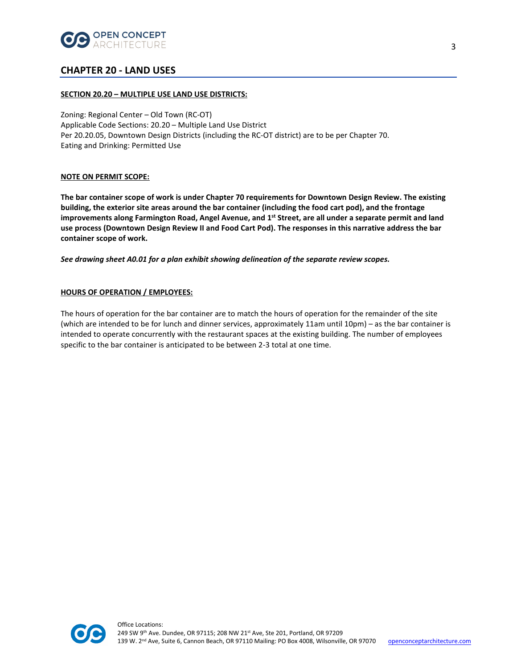

# **CHAPTER 20 - LAND USES**

## **SECTION 20.20 – MULTIPLE USE LAND USE DISTRICTS:**

Zoning: Regional Center – Old Town (RC-OT) Applicable Code Sections: 20.20 – Multiple Land Use District Per 20.20.05, Downtown Design Districts (including the RC-OT district) are to be per Chapter 70. Eating and Drinking: Permitted Use

## **NOTE ON PERMIT SCOPE:**

**The bar container scope of work is under Chapter 70 requirements for Downtown Design Review. The existing building, the exterior site areas around the bar container (including the food cart pod), and the frontage improvements along Farmington Road, Angel Avenue, and 1st Street, are all under a separate permit and land use process (Downtown Design Review II and Food Cart Pod). The responses in this narrative address the bar container scope of work.** 

*See drawing sheet A0.01 for a plan exhibit showing delineation of the separate review scopes.* 

## **HOURS OF OPERATION / EMPLOYEES:**

The hours of operation for the bar container are to match the hours of operation for the remainder of the site (which are intended to be for lunch and dinner services, approximately 11am until 10pm) – as the bar container is intended to operate concurrently with the restaurant spaces at the existing building. The number of employees specific to the bar container is anticipated to be between 2-3 total at one time.

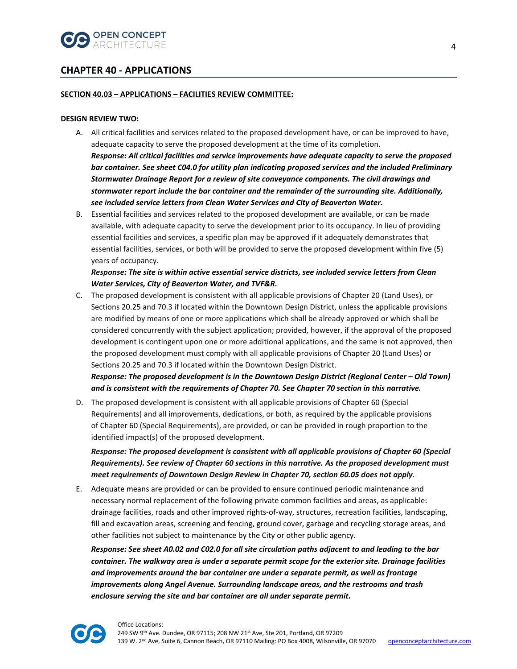

# **CHAPTER 40 - APPLICATIONS**

## **SECTION 40.03 – APPLICATIONS – FACILITIES REVIEW COMMITTEE:**

#### **DESIGN REVIEW TWO:**

- A. All critical facilities and services related to the proposed development have, or can be improved to have, adequate capacity to serve the proposed development at the time of its completion. *Response: All critical facilities and service improvements have adequate capacity to serve the proposed bar container. See sheet C04.0 for utility plan indicating proposed services and the included Preliminary Stormwater Drainage Report for a review of site conveyance components. The civil drawings and stormwater report include the bar container and the remainder of the surrounding site. Additionally, see included service letters from Clean Water Services and City of Beaverton Water.*
- B. Essential facilities and services related to the proposed development are available, or can be made available, with adequate capacity to serve the development prior to its occupancy. In lieu of providing essential facilities and services, a specific plan may be approved if it adequately demonstrates that essential facilities, services, or both will be provided to serve the proposed development within five (5) years of occupancy.

# *Response: The site is within active essential service districts, see included service letters from Clean Water Services, City of Beaverton Water, and TVF&R.*

C. The proposed development is consistent with all applicable provisions of Chapter 20 (Land Uses), or Sections 20.25 and 70.3 if located within the Downtown Design District, unless the applicable provisions are modified by means of one or more applications which shall be already approved or which shall be considered concurrently with the subject application; provided, however, if the approval of the proposed development is contingent upon one or more additional applications, and the same is not approved, then the proposed development must comply with all applicable provisions of Chapter 20 (Land Uses) or Sections 20.25 and 70.3 if located within the Downtown Design District.

*Response: The proposed development is in the Downtown Design District (Regional Center – Old Town) and is consistent with the requirements of Chapter 70. See Chapter 70 section in this narrative.*

D. The proposed development is consistent with all applicable provisions of Chapter 60 (Special Requirements) and all improvements, dedications, or both, as required by the applicable provisions of Chapter 60 (Special Requirements), are provided, or can be provided in rough proportion to the identified impact(s) of the proposed development.

*Response: The proposed development is consistent with all applicable provisions of Chapter 60 (Special Requirements). See review of Chapter 60 sections in this narrative. As the proposed development must meet requirements of Downtown Design Review in Chapter 70, section 60.05 does not apply.*

E. Adequate means are provided or can be provided to ensure continued periodic maintenance and necessary normal replacement of the following private common facilities and areas, as applicable: drainage facilities, roads and other improved rights-of-way, structures, recreation facilities, landscaping, fill and excavation areas, screening and fencing, ground cover, garbage and recycling storage areas, and other facilities not subject to maintenance by the City or other public agency.

*Response: See sheet A0.02 and C02.0 for all site circulation paths adjacent to and leading to the bar container. The walkway area is under a separate permit scope for the exterior site. Drainage facilities and improvements around the bar container are under a separate permit, as well as frontage improvements along Angel Avenue. Surrounding landscape areas, and the restrooms and trash enclosure serving the site and bar container are all under separate permit.* 

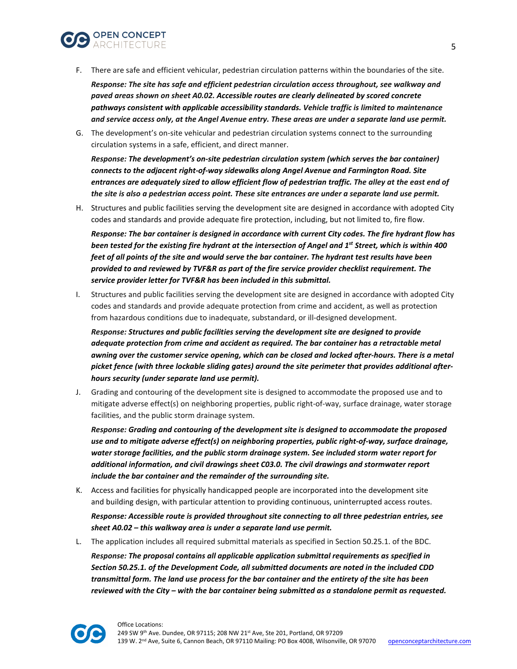

F. There are safe and efficient vehicular, pedestrian circulation patterns within the boundaries of the site.

*Response: The site has safe and efficient pedestrian circulation access throughout, see walkway and paved areas shown on sheet A0.02. Accessible routes are clearly delineated by scored concrete pathways consistent with applicable accessibility standards. Vehicle traffic is limited to maintenance and service access only, at the Angel Avenue entry. These areas are under a separate land use permit.* 

G. The development's on-site vehicular and pedestrian circulation systems connect to the surrounding circulation systems in a safe, efficient, and direct manner.

*Response: The development's on-site pedestrian circulation system (which serves the bar container) connects to the adjacent right-of-way sidewalks along Angel Avenue and Farmington Road. Site entrances are adequately sized to allow efficient flow of pedestrian traffic. The alley at the east end of the site is also a pedestrian access point. These site entrances are under a separate land use permit.*

H. Structures and public facilities serving the development site are designed in accordance with adopted City codes and standards and provide adequate fire protection, including, but not limited to, fire flow.

*Response: The bar container is designed in accordance with current City codes. The fire hydrant flow has been tested for the existing fire hydrant at the intersection of Angel and 1<sup>st</sup> Street, which is within 400 feet of all points of the site and would serve the bar container. The hydrant test results have been provided to and reviewed by TVF&R as part of the fire service provider checklist requirement. The service provider letter for TVF&R has been included in this submittal.* 

I. Structures and public facilities serving the development site are designed in accordance with adopted City codes and standards and provide adequate protection from crime and accident, as well as protection from hazardous conditions due to inadequate, substandard, or ill-designed development.

*Response: Structures and public facilities serving the development site are designed to provide adequate protection from crime and accident as required. The bar container has a retractable metal awning over the customer service opening, which can be closed and locked after-hours. There is a metal picket fence (with three lockable sliding gates) around the site perimeter that provides additional afterhours security (under separate land use permit).* 

J. Grading and contouring of the development site is designed to accommodate the proposed use and to mitigate adverse effect(s) on neighboring properties, public right-of-way, surface drainage, water storage facilities, and the public storm drainage system.

*Response: Grading and contouring of the development site is designed to accommodate the proposed use and to mitigate adverse effect(s) on neighboring properties, public right-of-way, surface drainage, water storage facilities, and the public storm drainage system. See included storm water report for additional information, and civil drawings sheet C03.0. The civil drawings and stormwater report include the bar container and the remainder of the surrounding site.*

- K. Access and facilities for physically handicapped people are incorporated into the development site and building design, with particular attention to providing continuous, uninterrupted access routes. *Response: Accessible route is provided throughout site connecting to all three pedestrian entries, see sheet A0.02 – this walkway area is under a separate land use permit.*
- L. The application includes all required submittal materials as specified in Section 50.25.1. of the BDC. *Response: The proposal contains all applicable application submittal requirements as specified in Section 50.25.1. of the Development Code, all submitted documents are noted in the included CDD transmittal form. The land use process for the bar container and the entirety of the site has been reviewed with the City – with the bar container being submitted as a standalone permit as requested.*

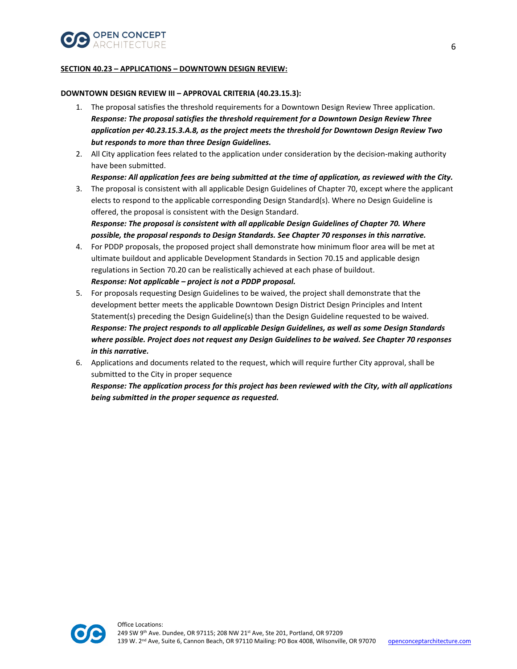

## **SECTION 40.23 – APPLICATIONS – DOWNTOWN DESIGN REVIEW:**

## **DOWNTOWN DESIGN REVIEW III – APPROVAL CRITERIA (40.23.15.3):**

- 1. The proposal satisfies the threshold requirements for a Downtown Design Review Three application. *Response: The proposal satisfies the threshold requirement for a Downtown Design Review Three application per 40.23.15.3.A.8, as the project meets the threshold for Downtown Design Review Two but responds to more than three Design Guidelines.*
- 2. All City application fees related to the application under consideration by the decision-making authority have been submitted.

# *Response: All application fees are being submitted at the time of application, as reviewed with the City.*

3. The proposal is consistent with all applicable Design Guidelines of Chapter 70, except where the applicant elects to respond to the applicable corresponding Design Standard(s). Where no Design Guideline is offered, the proposal is consistent with the Design Standard. *Response: The proposal is consistent with all applicable Design Guidelines of Chapter 70. Where* 

*possible, the proposal responds to Design Standards. See Chapter 70 responses in this narrative.* 

- 4. For PDDP proposals, the proposed project shall demonstrate how minimum floor area will be met at ultimate buildout and applicable Development Standards in Section 70.15 and applicable design regulations in Section 70.20 can be realistically achieved at each phase of buildout. *Response: Not applicable – project is not a PDDP proposal.*
- 5. For proposals requesting Design Guidelines to be waived, the project shall demonstrate that the development better meets the applicable Downtown Design District Design Principles and Intent Statement(s) preceding the Design Guideline(s) than the Design Guideline requested to be waived. *Response: The project responds to all applicable Design Guidelines, as well as some Design Standards where possible. Project does not request any Design Guidelines to be waived. See Chapter 70 responses in this narrative.*
- 6. Applications and documents related to the request, which will require further City approval, shall be submitted to the City in proper sequence

*Response: The application process for this project has been reviewed with the City, with all applications being submitted in the proper sequence as requested.* 



Office Locations: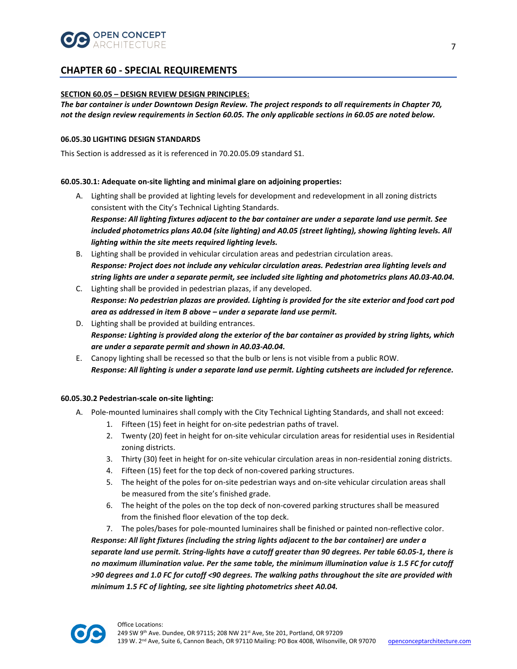

# **CHAPTER 60 - SPECIAL REQUIREMENTS**

## **SECTION 60.05 – DESIGN REVIEW DESIGN PRINCIPLES:**

*The bar container is under Downtown Design Review. The project responds to all requirements in Chapter 70, not the design review requirements in Section 60.05. The only applicable sections in 60.05 are noted below.* 

### **06.05.30 LIGHTING DESIGN STANDARDS**

This Section is addressed as it is referenced in 70.20.05.09 standard S1.

## **60.05.30.1: Adequate on-site lighting and minimal glare on adjoining properties:**

- A. Lighting shall be provided at lighting levels for development and redevelopment in all zoning districts consistent with the City's Technical Lighting Standards. *Response: All lighting fixtures adjacent to the bar container are under a separate land use permit. See included photometrics plans A0.04 (site lighting) and A0.05 (street lighting), showing lighting levels. All lighting within the site meets required lighting levels.*
- B. Lighting shall be provided in vehicular circulation areas and pedestrian circulation areas. *Response: Project does not include any vehicular circulation areas. Pedestrian area lighting levels and string lights are under a separate permit, see included site lighting and photometrics plans A0.03-A0.04.*
- C. Lighting shall be provided in pedestrian plazas, if any developed. *Response: No pedestrian plazas are provided. Lighting is provided for the site exterior and food cart pod area as addressed in item B above – under a separate land use permit.*
- D. Lighting shall be provided at building entrances. *Response: Lighting is provided along the exterior of the bar container as provided by string lights, which are under a separate permit and shown in A0.03-A0.04.*
- E. Canopy lighting shall be recessed so that the bulb or lens is not visible from a public ROW. *Response: All lighting is under a separate land use permit. Lighting cutsheets are included for reference.*

## **60.05.30.2 Pedestrian-scale on-site lighting:**

- A. Pole-mounted luminaires shall comply with the City Technical Lighting Standards, and shall not exceed:
	- 1. Fifteen (15) feet in height for on-site pedestrian paths of travel.
	- 2. Twenty (20) feet in height for on-site vehicular circulation areas for residential uses in Residential zoning districts.
	- 3. Thirty (30) feet in height for on-site vehicular circulation areas in non-residential zoning districts.
	- 4. Fifteen (15) feet for the top deck of non-covered parking structures.
	- 5. The height of the poles for on-site pedestrian ways and on-site vehicular circulation areas shall be measured from the site's finished grade.
	- 6. The height of the poles on the top deck of non-covered parking structures shall be measured from the finished floor elevation of the top deck.

7. The poles/bases for pole-mounted luminaires shall be finished or painted non-reflective color. *Response: All light fixtures (including the string lights adjacent to the bar container) are under a separate land use permit. String-lights have a cutoff greater than 90 degrees. Per table 60.05-1, there is no maximum illumination value. Per the same table, the minimum illumination value is 1.5 FC for cutoff >90 degrees and 1.0 FC for cutoff <90 degrees. The walking paths throughout the site are provided with minimum 1.5 FC of lighting, see site lighting photometrics sheet A0.04.* 

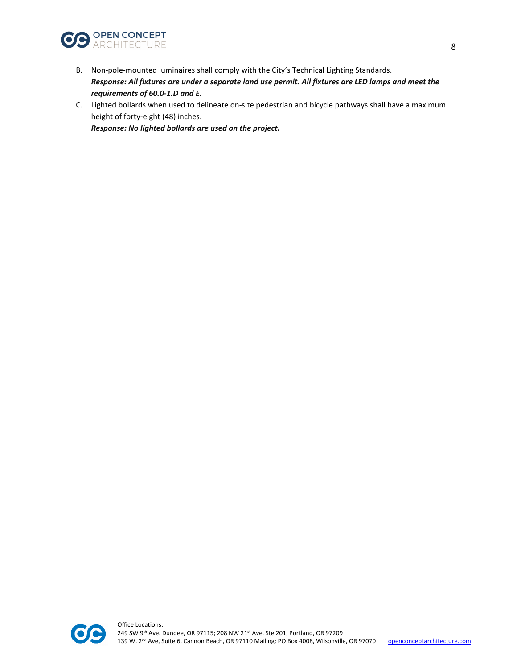

- B. Non-pole-mounted luminaires shall comply with the City's Technical Lighting Standards. *Response: All fixtures are under a separate land use permit. All fixtures are LED lamps and meet the requirements of 60.0-1.D and E.*
- C. Lighted bollards when used to delineate on-site pedestrian and bicycle pathways shall have a maximum height of forty-eight (48) inches.

*Response: No lighted bollards are used on the project.* 

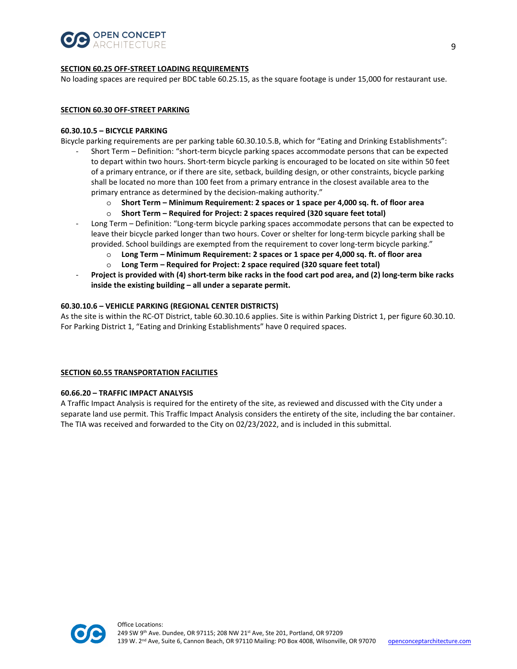

## **SECTION 60.25 OFF-STREET LOADING REQUIREMENTS**

No loading spaces are required per BDC table 60.25.15, as the square footage is under 15,000 for restaurant use.

#### **SECTION 60.30 OFF-STREET PARKING**

#### **60.30.10.5 – BICYCLE PARKING**

Bicycle parking requirements are per parking table 60.30.10.5.B, which for "Eating and Drinking Establishments":

- Short Term Definition: "short-term bicycle parking spaces accommodate persons that can be expected to depart within two hours. Short-term bicycle parking is encouraged to be located on site within 50 feet of a primary entrance, or if there are site, setback, building design, or other constraints, bicycle parking shall be located no more than 100 feet from a primary entrance in the closest available area to the primary entrance as determined by the decision-making authority."
	- o **Short Term Minimum Requirement: 2 spaces or 1 space per 4,000 sq. ft. of floor area**
	- Short Term Required for Project: 2 spaces required (320 square feet total)
- Long Term Definition: "Long-term bicycle parking spaces accommodate persons that can be expected to leave their bicycle parked longer than two hours. Cover or shelter for long-term bicycle parking shall be provided. School buildings are exempted from the requirement to cover long-term bicycle parking."
	- o **Long Term Minimum Requirement: 2 spaces or 1 space per 4,000 sq. ft. of floor area**
	- o **Long Term Required for Project: 2 space required (320 square feet total)**
- **Project is provided with (4) short-term bike racks in the food cart pod area, and (2) long-term bike racks inside the existing building – all under a separate permit.**

## **60.30.10.6 – VEHICLE PARKING (REGIONAL CENTER DISTRICTS)**

As the site is within the RC-OT District, table 60.30.10.6 applies. Site is within Parking District 1, per figure 60.30.10. For Parking District 1, "Eating and Drinking Establishments" have 0 required spaces.

#### **SECTION 60.55 TRANSPORTATION FACILITIES**

#### **60.66.20 – TRAFFIC IMPACT ANALYSIS**

A Traffic Impact Analysis is required for the entirety of the site, as reviewed and discussed with the City under a separate land use permit. This Traffic Impact Analysis considers the entirety of the site, including the bar container. The TIA was received and forwarded to the City on 02/23/2022, and is included in this submittal.

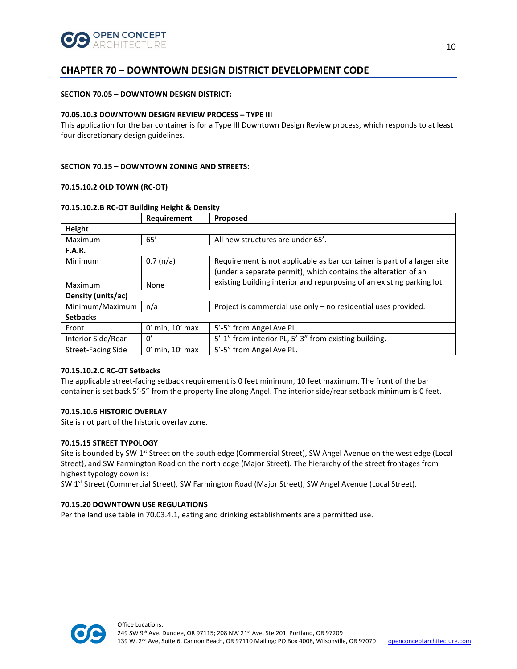

# **CHAPTER 70 – DOWNTOWN DESIGN DISTRICT DEVELOPMENT CODE**

## **SECTION 70.05 – DOWNTOWN DESIGN DISTRICT:**

#### **70.05.10.3 DOWNTOWN DESIGN REVIEW PROCESS – TYPE III**

This application for the bar container is for a Type III Downtown Design Review process, which responds to at least four discretionary design guidelines.

### **SECTION 70.15 – DOWNTOWN ZONING AND STREETS:**

## **70.15.10.2 OLD TOWN (RC-OT)**

|                           | Requirement         | Proposed                                                                                                                                                                                                            |  |  |  |
|---------------------------|---------------------|---------------------------------------------------------------------------------------------------------------------------------------------------------------------------------------------------------------------|--|--|--|
| Height                    |                     |                                                                                                                                                                                                                     |  |  |  |
| Maximum                   | 65'                 | All new structures are under 65'.                                                                                                                                                                                   |  |  |  |
| <b>F.A.R.</b>             |                     |                                                                                                                                                                                                                     |  |  |  |
| Minimum                   | 0.7 (n/a)           | Requirement is not applicable as bar container is part of a larger site<br>(under a separate permit), which contains the alteration of an<br>existing building interior and repurposing of an existing parking lot. |  |  |  |
| Maximum                   | None                |                                                                                                                                                                                                                     |  |  |  |
| Density (units/ac)        |                     |                                                                                                                                                                                                                     |  |  |  |
| Minimum/Maximum           | n/a                 | Project is commercial use only – no residential uses provided.                                                                                                                                                      |  |  |  |
| <b>Setbacks</b>           |                     |                                                                                                                                                                                                                     |  |  |  |
| Front                     | $0'$ min, $10'$ max | 5'-5" from Angel Ave PL.                                                                                                                                                                                            |  |  |  |
| Interior Side/Rear        | $\Omega'$           | 5'-1" from interior PL, 5'-3" from existing building.                                                                                                                                                               |  |  |  |
| <b>Street-Facing Side</b> | $0'$ min, $10'$ max | 5'-5" from Angel Ave PL.                                                                                                                                                                                            |  |  |  |

#### **70.15.10.2.B RC-OT Building Height & Density**

#### **70.15.10.2.C RC-OT Setbacks**

The applicable street-facing setback requirement is 0 feet minimum, 10 feet maximum. The front of the bar container is set back 5'-5" from the property line along Angel. The interior side/rear setback minimum is 0 feet.

#### **70.15.10.6 HISTORIC OVERLAY**

Site is not part of the historic overlay zone.

#### **70.15.15 STREET TYPOLOGY**

Site is bounded by SW 1<sup>st</sup> Street on the south edge (Commercial Street), SW Angel Avenue on the west edge (Local Street), and SW Farmington Road on the north edge (Major Street). The hierarchy of the street frontages from highest typology down is:

SW 1<sup>st</sup> Street (Commercial Street), SW Farmington Road (Major Street), SW Angel Avenue (Local Street).

#### **70.15.20 DOWNTOWN USE REGULATIONS**

Per the land use table in 70.03.4.1, eating and drinking establishments are a permitted use.

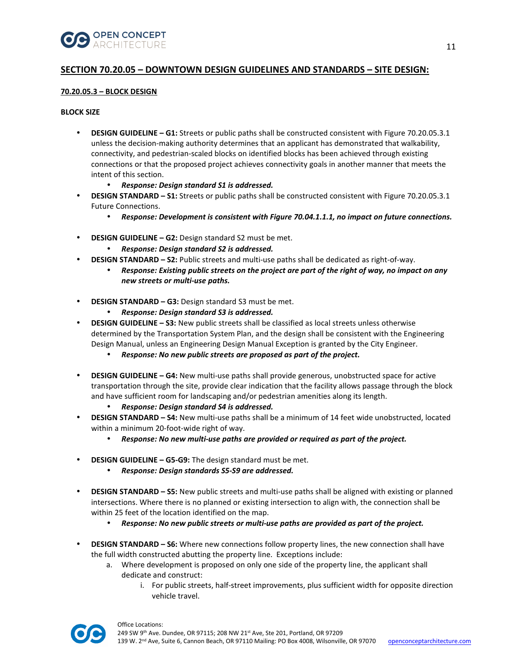

# **SECTION 70.20.05 – DOWNTOWN DESIGN GUIDELINES AND STANDARDS – SITE DESIGN:**

## **70.20.05.3 – BLOCK DESIGN**

## **BLOCK SIZE**

- **DESIGN GUIDELINE G1:** Streets or public paths shall be constructed consistent with Figure 70.20.05.3.1 unless the decision-making authority determines that an applicant has demonstrated that walkability, connectivity, and pedestrian-scaled blocks on identified blocks has been achieved through existing connections or that the proposed project achieves connectivity goals in another manner that meets the intent of this section.
	- *Response: Design standard S1 is addressed.*
- **DESIGN STANDARD S1:** Streets or public paths shall be constructed consistent with Figure 70.20.05.3.1 Future Connections.
	- *Response: Development is consistent with Figure 70.04.1.1.1, no impact on future connections.*
- **DESIGN GUIDELINE G2:** Design standard S2 must be met.
	- *Response: Design standard S2 is addressed.*
- **DESIGN STANDARD S2:** Public streets and multi-use paths shall be dedicated as right-of-way.
	- *Response: Existing public streets on the project are part of the right of way, no impact on any new streets or multi-use paths.*
- **DESIGN STANDARD G3:** Design standard S3 must be met.
	- *Response: Design standard S3 is addressed.*
- **DESIGN GUIDELINE S3:** New public streets shall be classified as local streets unless otherwise determined by the Transportation System Plan, and the design shall be consistent with the Engineering Design Manual, unless an Engineering Design Manual Exception is granted by the City Engineer.
	- *Response: No new public streets are proposed as part of the project.*
- **DESIGN GUIDELINE G4:** New multi-use paths shall provide generous, unobstructed space for active transportation through the site, provide clear indication that the facility allows passage through the block and have sufficient room for landscaping and/or pedestrian amenities along its length.
	- *Response: Design standard S4 is addressed.*
- **DESIGN STANDARD S4:** New multi-use paths shall be a minimum of 14 feet wide unobstructed, located within a minimum 20-foot-wide right of way.
	- *Response: No new multi-use paths are provided or required as part of the project.*
- **DESIGN GUIDELINE G5-G9:** The design standard must be met.
	- *Response: Design standards S5-S9 are addressed.*
- **DESIGN STANDARD S5:** New public streets and multi-use paths shall be aligned with existing or planned intersections. Where there is no planned or existing intersection to align with, the connection shall be within 25 feet of the location identified on the map.
	- *Response: No new public streets or multi-use paths are provided as part of the project.*
- **DESIGN STANDARD S6:** Where new connections follow property lines, the new connection shall have the full width constructed abutting the property line. Exceptions include:
	- a. Where development is proposed on only one side of the property line, the applicant shall dedicate and construct:
		- i. For public streets, half-street improvements, plus sufficient width for opposite direction vehicle travel.

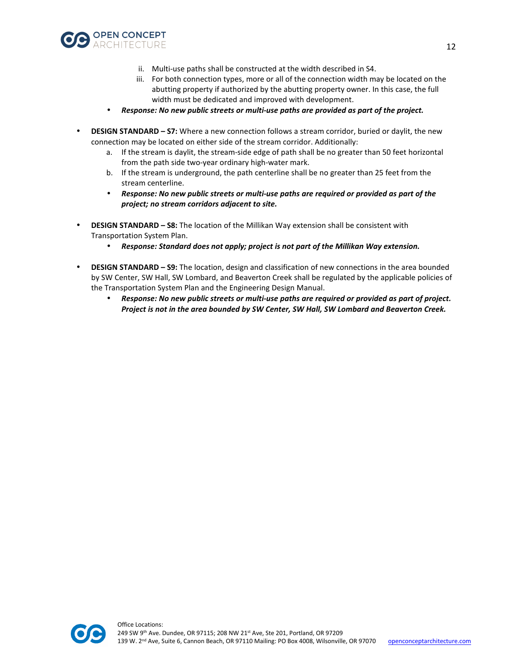

- ii. Multi-use paths shall be constructed at the width described in S4.
- iii. For both connection types, more or all of the connection width may be located on the abutting property if authorized by the abutting property owner. In this case, the full width must be dedicated and improved with development.
- *Response: No new public streets or multi-use paths are provided as part of the project.*
- **DESIGN STANDARD S7:** Where a new connection follows a stream corridor, buried or daylit, the new connection may be located on either side of the stream corridor. Additionally:
	- a. If the stream is daylit, the stream-side edge of path shall be no greater than 50 feet horizontal from the path side two-year ordinary high-water mark.
	- b. If the stream is underground, the path centerline shall be no greater than 25 feet from the stream centerline.
	- *Response: No new public streets or multi-use paths are required or provided as part of the project; no stream corridors adjacent to site.*
- **DESIGN STANDARD S8:** The location of the Millikan Way extension shall be consistent with Transportation System Plan.
	- *Response: Standard does not apply; project is not part of the Millikan Way extension.*
- **DESIGN STANDARD S9:** The location, design and classification of new connections in the area bounded by SW Center, SW Hall, SW Lombard, and Beaverton Creek shall be regulated by the applicable policies of the Transportation System Plan and the Engineering Design Manual.
	- *Response: No new public streets or multi-use paths are required or provided as part of project. Project is not in the area bounded by SW Center, SW Hall, SW Lombard and Beaverton Creek.*

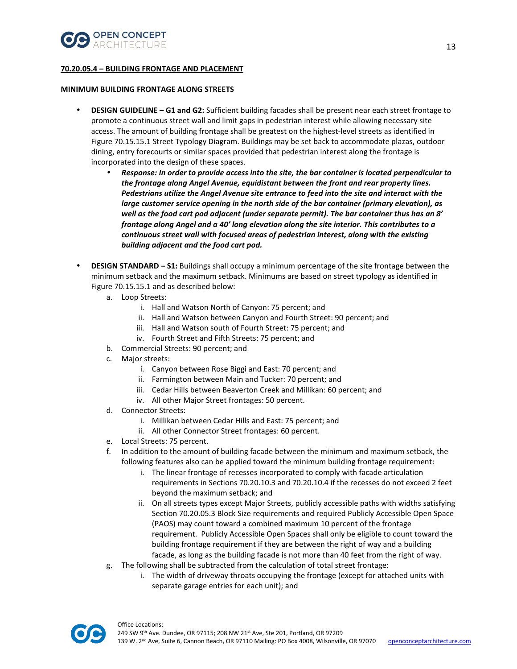

## **70.20.05.4 – BUILDING FRONTAGE AND PLACEMENT**

#### **MINIMUM BUILDING FRONTAGE ALONG STREETS**

- **DESIGN GUIDELINE G1 and G2:** Sufficient building facades shall be present near each street frontage to promote a continuous street wall and limit gaps in pedestrian interest while allowing necessary site access. The amount of building frontage shall be greatest on the highest-level streets as identified in Figure 70.15.15.1 Street Typology Diagram. Buildings may be set back to accommodate plazas, outdoor dining, entry forecourts or similar spaces provided that pedestrian interest along the frontage is incorporated into the design of these spaces.
	- *Response: In order to provide access into the site, the bar container is located perpendicular to the frontage along Angel Avenue, equidistant between the front and rear property lines. Pedestrians utilize the Angel Avenue site entrance to feed into the site and interact with the large customer service opening in the north side of the bar container (primary elevation), as well as the food cart pod adjacent (under separate permit). The bar container thus has an 8' frontage along Angel and a 40' long elevation along the site interior. This contributes to a continuous street wall with focused areas of pedestrian interest, along with the existing building adjacent and the food cart pod.*
- **DESIGN STANDARD S1:** Buildings shall occupy a minimum percentage of the site frontage between the minimum setback and the maximum setback. Minimums are based on street typology as identified in Figure 70.15.15.1 and as described below:
	- a. Loop Streets:
		- i. Hall and Watson North of Canyon: 75 percent; and
		- ii. Hall and Watson between Canyon and Fourth Street: 90 percent; and
		- iii. Hall and Watson south of Fourth Street: 75 percent; and
		- iv. Fourth Street and Fifth Streets: 75 percent; and
	- b. Commercial Streets: 90 percent; and
	- c. Major streets:
		- i. Canyon between Rose Biggi and East: 70 percent; and
		- ii. Farmington between Main and Tucker: 70 percent; and
		- iii. Cedar Hills between Beaverton Creek and Millikan: 60 percent; and
		- iv. All other Major Street frontages: 50 percent.
	- d. Connector Streets:
		- i. Millikan between Cedar Hills and East: 75 percent; and
		- ii. All other Connector Street frontages: 60 percent.
	- e. Local Streets: 75 percent.
	- f. In addition to the amount of building facade between the minimum and maximum setback, the following features also can be applied toward the minimum building frontage requirement:
		- i. The linear frontage of recesses incorporated to comply with facade articulation requirements in Sections 70.20.10.3 and 70.20.10.4 if the recesses do not exceed 2 feet beyond the maximum setback; and
		- ii. On all streets types except Major Streets, publicly accessible paths with widths satisfying Section 70.20.05.3 Block Size requirements and required Publicly Accessible Open Space (PAOS) may count toward a combined maximum 10 percent of the frontage requirement. Publicly Accessible Open Spaces shall only be eligible to count toward the building frontage requirement if they are between the right of way and a building facade, as long as the building facade is not more than 40 feet from the right of way.
	- g. The following shall be subtracted from the calculation of total street frontage:
		- i. The width of driveway throats occupying the frontage (except for attached units with separate garage entries for each unit); and

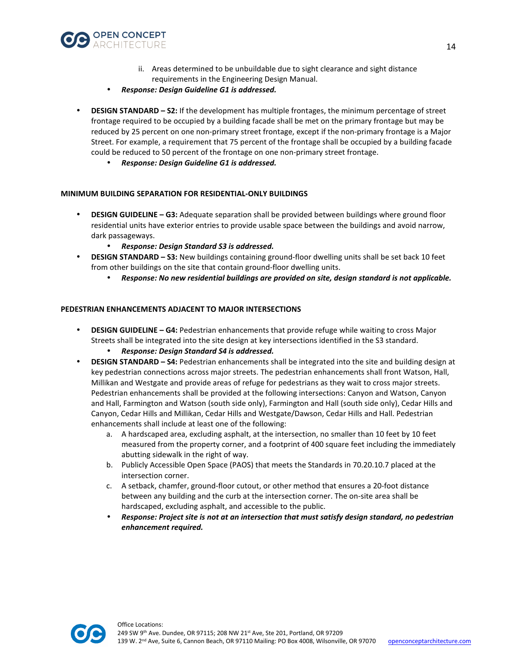

- ii. Areas determined to be unbuildable due to sight clearance and sight distance requirements in the Engineering Design Manual.
- *Response: Design Guideline G1 is addressed.*
- **DESIGN STANDARD S2:** If the development has multiple frontages, the minimum percentage of street frontage required to be occupied by a building facade shall be met on the primary frontage but may be reduced by 25 percent on one non-primary street frontage, except if the non-primary frontage is a Major Street. For example, a requirement that 75 percent of the frontage shall be occupied by a building facade could be reduced to 50 percent of the frontage on one non-primary street frontage.
	- *Response: Design Guideline G1 is addressed.*

## **MINIMUM BUILDING SEPARATION FOR RESIDENTIAL-ONLY BUILDINGS**

- **DESIGN GUIDELINE G3:** Adequate separation shall be provided between buildings where ground floor residential units have exterior entries to provide usable space between the buildings and avoid narrow, dark passageways.
	- *Response: Design Standard S3 is addressed.*
- **DESIGN STANDARD S3:** New buildings containing ground-floor dwelling units shall be set back 10 feet from other buildings on the site that contain ground-floor dwelling units.
	- *Response: No new residential buildings are provided on site, design standard is not applicable.*

## **PEDESTRIAN ENHANCEMENTS ADJACENT TO MAJOR INTERSECTIONS**

- **DESIGN GUIDELINE G4:** Pedestrian enhancements that provide refuge while waiting to cross Major Streets shall be integrated into the site design at key intersections identified in the S3 standard.
	- *Response: Design Standard S4 is addressed.*
- **DESIGN STANDARD S4:** Pedestrian enhancements shall be integrated into the site and building design at key pedestrian connections across major streets. The pedestrian enhancements shall front Watson, Hall, Millikan and Westgate and provide areas of refuge for pedestrians as they wait to cross major streets. Pedestrian enhancements shall be provided at the following intersections: Canyon and Watson, Canyon and Hall, Farmington and Watson (south side only), Farmington and Hall (south side only), Cedar Hills and Canyon, Cedar Hills and Millikan, Cedar Hills and Westgate/Dawson, Cedar Hills and Hall. Pedestrian enhancements shall include at least one of the following:
	- a. A hardscaped area, excluding asphalt, at the intersection, no smaller than 10 feet by 10 feet measured from the property corner, and a footprint of 400 square feet including the immediately abutting sidewalk in the right of way.
	- b. Publicly Accessible Open Space (PAOS) that meets the Standards in 70.20.10.7 placed at the intersection corner.
	- c. A setback, chamfer, ground-floor cutout, or other method that ensures a 20-foot distance between any building and the curb at the intersection corner. The on-site area shall be hardscaped, excluding asphalt, and accessible to the public.
	- *Response: Project site is not at an intersection that must satisfy design standard, no pedestrian enhancement required.*

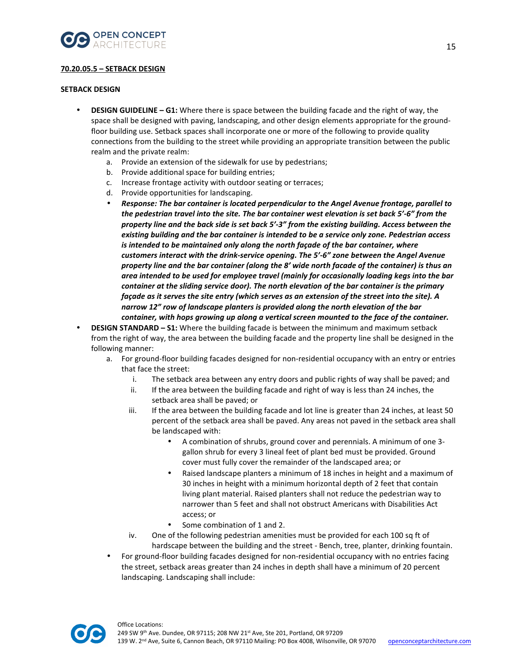

## **70.20.05.5 – SETBACK DESIGN**

#### **SETBACK DESIGN**

- **DESIGN GUIDELINE G1:** Where there is space between the building facade and the right of way, the space shall be designed with paving, landscaping, and other design elements appropriate for the groundfloor building use. Setback spaces shall incorporate one or more of the following to provide quality connections from the building to the street while providing an appropriate transition between the public realm and the private realm:
	- a. Provide an extension of the sidewalk for use by pedestrians;
	- b. Provide additional space for building entries;
	- c. Increase frontage activity with outdoor seating or terraces;
	- d. Provide opportunities for landscaping.
	- *Response: The bar container is located perpendicular to the Angel Avenue frontage, parallel to the pedestrian travel into the site. The bar container west elevation is set back 5'-6" from the property line and the back side is set back 5'-3" from the existing building. Access between the existing building and the bar container is intended to be a service only zone. Pedestrian access is intended to be maintained only along the north façade of the bar container, where customers interact with the drink-service opening. The 5'-6" zone between the Angel Avenue property line and the bar container (along the 8' wide north facade of the container) is thus an area intended to be used for employee travel (mainly for occasionally loading kegs into the bar container at the sliding service door). The north elevation of the bar container is the primary façade as it serves the site entry (which serves as an extension of the street into the site). A narrow 12" row of landscape planters is provided along the north elevation of the bar container, with hops growing up along a vertical screen mounted to the face of the container.*
- **DESIGN STANDARD S1:** Where the building facade is between the minimum and maximum setback from the right of way, the area between the building facade and the property line shall be designed in the following manner:
	- a. For ground-floor building facades designed for non-residential occupancy with an entry or entries that face the street:
		- i. The setback area between any entry doors and public rights of way shall be paved; and
		- ii. If the area between the building facade and right of way is less than 24 inches, the setback area shall be paved; or
		- iii. If the area between the building facade and lot line is greater than 24 inches, at least 50 percent of the setback area shall be paved. Any areas not paved in the setback area shall be landscaped with:
			- A combination of shrubs, ground cover and perennials. A minimum of one 3 gallon shrub for every 3 lineal feet of plant bed must be provided. Ground cover must fully cover the remainder of the landscaped area; or
			- Raised landscape planters a minimum of 18 inches in height and a maximum of 30 inches in height with a minimum horizontal depth of 2 feet that contain living plant material. Raised planters shall not reduce the pedestrian way to narrower than 5 feet and shall not obstruct Americans with Disabilities Act access; or
			- Some combination of 1 and 2.
		- iv. One of the following pedestrian amenities must be provided for each 100 sq ft of hardscape between the building and the street - Bench, tree, planter, drinking fountain.
	- For ground-floor building facades designed for non-residential occupancy with no entries facing the street, setback areas greater than 24 inches in depth shall have a minimum of 20 percent landscaping. Landscaping shall include:

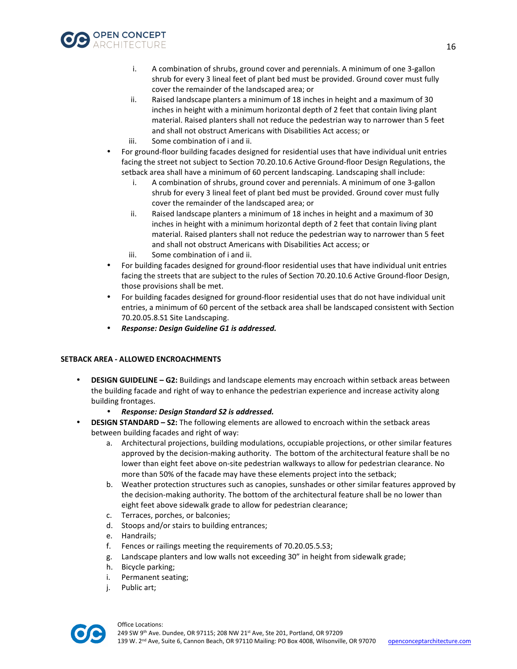

- i. A combination of shrubs, ground cover and perennials. A minimum of one 3-gallon shrub for every 3 lineal feet of plant bed must be provided. Ground cover must fully cover the remainder of the landscaped area; or
- ii. Raised landscape planters a minimum of 18 inches in height and a maximum of 30 inches in height with a minimum horizontal depth of 2 feet that contain living plant material. Raised planters shall not reduce the pedestrian way to narrower than 5 feet and shall not obstruct Americans with Disabilities Act access; or iii. Some combination of i and ii.
- For ground-floor building facades designed for residential uses that have individual unit entries facing the street not subject to Section 70.20.10.6 Active Ground-floor Design Regulations, the setback area shall have a minimum of 60 percent landscaping. Landscaping shall include:
	- i. A combination of shrubs, ground cover and perennials. A minimum of one 3-gallon shrub for every 3 lineal feet of plant bed must be provided. Ground cover must fully cover the remainder of the landscaped area; or
	- ii. Raised landscape planters a minimum of 18 inches in height and a maximum of 30 inches in height with a minimum horizontal depth of 2 feet that contain living plant material. Raised planters shall not reduce the pedestrian way to narrower than 5 feet and shall not obstruct Americans with Disabilities Act access; or
	- iii. Some combination of i and ii.
- For building facades designed for ground-floor residential uses that have individual unit entries facing the streets that are subject to the rules of Section 70.20.10.6 Active Ground-floor Design, those provisions shall be met.
- For building facades designed for ground-floor residential uses that do not have individual unit entries, a minimum of 60 percent of the setback area shall be landscaped consistent with Section 70.20.05.8.S1 Site Landscaping.
- *Response: Design Guideline G1 is addressed.*

## **SETBACK AREA - ALLOWED ENCROACHMENTS**

- **DESIGN GUIDELINE G2:** Buildings and landscape elements may encroach within setback areas between the building facade and right of way to enhance the pedestrian experience and increase activity along building frontages.
	- *Response: Design Standard S2 is addressed.*
- **DESIGN STANDARD S2:** The following elements are allowed to encroach within the setback areas between building facades and right of way:
	- a. Architectural projections, building modulations, occupiable projections, or other similar features approved by the decision-making authority. The bottom of the architectural feature shall be no lower than eight feet above on-site pedestrian walkways to allow for pedestrian clearance. No more than 50% of the facade may have these elements project into the setback;
	- b. Weather protection structures such as canopies, sunshades or other similar features approved by the decision-making authority. The bottom of the architectural feature shall be no lower than eight feet above sidewalk grade to allow for pedestrian clearance;
	- c. Terraces, porches, or balconies;
	- d. Stoops and/or stairs to building entrances;
	- e. Handrails;
	- f. Fences or railings meeting the requirements of 70.20.05.5.S3;
	- g. Landscape planters and low walls not exceeding 30" in height from sidewalk grade;
	- h. Bicycle parking;
	- i. Permanent seating;
	- j. Public art;

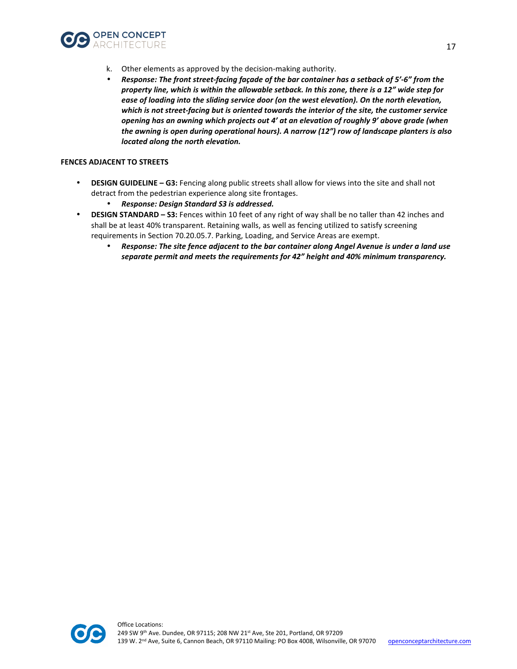

- k. Other elements as approved by the decision-making authority.
- *Response: The front street-facing façade of the bar container has a setback of 5'-6" from the property line, which is within the allowable setback. In this zone, there is a 12" wide step for ease of loading into the sliding service door (on the west elevation). On the north elevation, which is not street-facing but is oriented towards the interior of the site, the customer service opening has an awning which projects out 4' at an elevation of roughly 9' above grade (when the awning is open during operational hours). A narrow (12") row of landscape planters is also located along the north elevation.*

#### **FENCES ADJACENT TO STREETS**

- **DESIGN GUIDELINE G3:** Fencing along public streets shall allow for views into the site and shall not detract from the pedestrian experience along site frontages.
	- *Response: Design Standard S3 is addressed.*
- **DESIGN STANDARD S3:** Fences within 10 feet of any right of way shall be no taller than 42 inches and shall be at least 40% transparent. Retaining walls, as well as fencing utilized to satisfy screening requirements in Section 70.20.05.7. Parking, Loading, and Service Areas are exempt.
	- *Response: The site fence adjacent to the bar container along Angel Avenue is under a land use separate permit and meets the requirements for 42" height and 40% minimum transparency.*

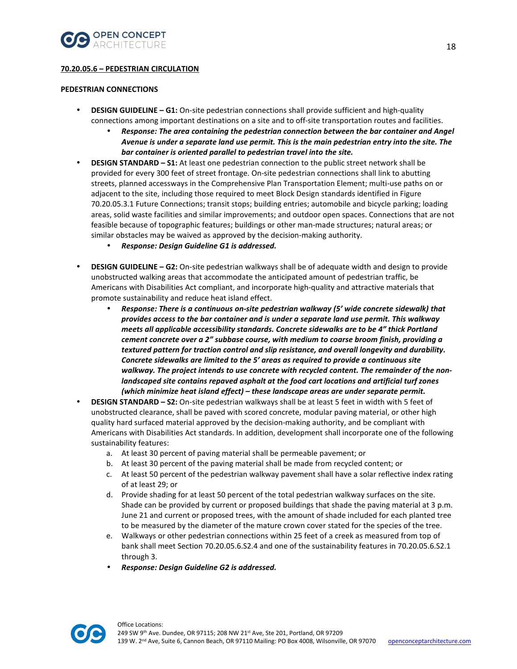

## **70.20.05.6 – PEDESTRIAN CIRCULATION**

## **PEDESTRIAN CONNECTIONS**

- **DESIGN GUIDELINE G1:** On-site pedestrian connections shall provide sufficient and high-quality connections among important destinations on a site and to off-site transportation routes and facilities.
	- *Response: The area containing the pedestrian connection between the bar container and Angel Avenue is under a separate land use permit. This is the main pedestrian entry into the site. The bar container is oriented parallel to pedestrian travel into the site.*
- **DESIGN STANDARD S1:** At least one pedestrian connection to the public street network shall be provided for every 300 feet of street frontage. On-site pedestrian connections shall link to abutting streets, planned accessways in the Comprehensive Plan Transportation Element; multi-use paths on or adjacent to the site, including those required to meet Block Design standards identified in Figure 70.20.05.3.1 Future Connections; transit stops; building entries; automobile and bicycle parking; loading areas, solid waste facilities and similar improvements; and outdoor open spaces. Connections that are not feasible because of topographic features; buildings or other man-made structures; natural areas; or similar obstacles may be waived as approved by the decision-making authority.
	- *Response: Design Guideline G1 is addressed.*
- **DESIGN GUIDELINE G2:** On-site pedestrian walkways shall be of adequate width and design to provide unobstructed walking areas that accommodate the anticipated amount of pedestrian traffic, be Americans with Disabilities Act compliant, and incorporate high-quality and attractive materials that promote sustainability and reduce heat island effect.
	- *Response: There is a continuous on-site pedestrian walkway (5' wide concrete sidewalk) that provides access to the bar container and is under a separate land use permit. This walkway meets all applicable accessibility standards. Concrete sidewalks are to be 4" thick Portland cement concrete over a 2" subbase course, with medium to coarse broom finish, providing a textured pattern for traction control and slip resistance, and overall longevity and durability. Concrete sidewalks are limited to the 5' areas as required to provide a continuous site walkway. The project intends to use concrete with recycled content. The remainder of the nonlandscaped site contains repaved asphalt at the food cart locations and artificial turf zones (which minimize heat island effect) – these landscape areas are under separate permit.*
- **DESIGN STANDARD S2:** On-site pedestrian walkways shall be at least 5 feet in width with 5 feet of unobstructed clearance, shall be paved with scored concrete, modular paving material, or other high quality hard surfaced material approved by the decision-making authority, and be compliant with Americans with Disabilities Act standards. In addition, development shall incorporate one of the following sustainability features:
	- a. At least 30 percent of paving material shall be permeable pavement; or
	- b. At least 30 percent of the paving material shall be made from recycled content; or
	- c. At least 50 percent of the pedestrian walkway pavement shall have a solar reflective index rating of at least 29; or
	- d. Provide shading for at least 50 percent of the total pedestrian walkway surfaces on the site. Shade can be provided by current or proposed buildings that shade the paving material at 3 p.m. June 21 and current or proposed trees, with the amount of shade included for each planted tree to be measured by the diameter of the mature crown cover stated for the species of the tree.
	- e. Walkways or other pedestrian connections within 25 feet of a creek as measured from top of bank shall meet Section 70.20.05.6.S2.4 and one of the sustainability features in 70.20.05.6.S2.1 through 3.
	- *Response: Design Guideline G2 is addressed.*

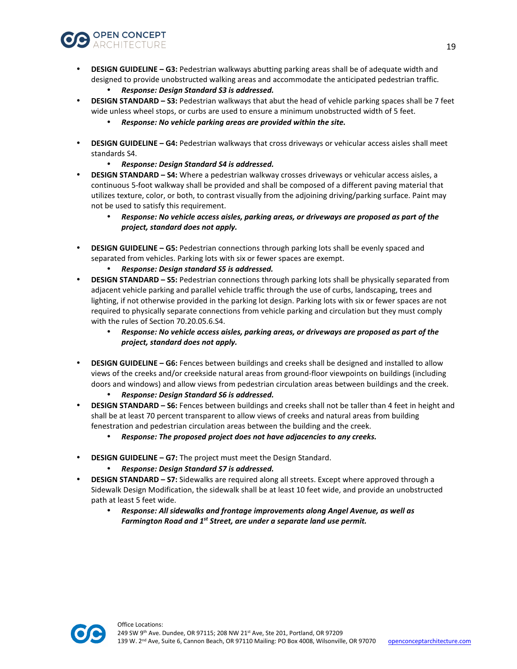

- **DESIGN GUIDELINE G3:** Pedestrian walkways abutting parking areas shall be of adequate width and designed to provide unobstructed walking areas and accommodate the anticipated pedestrian traffic.
	- *Response: Design Standard S3 is addressed.*
- **DESIGN STANDARD S3:** Pedestrian walkways that abut the head of vehicle parking spaces shall be 7 feet wide unless wheel stops, or curbs are used to ensure a minimum unobstructed width of 5 feet.
	- *Response: No vehicle parking areas are provided within the site.*
- **DESIGN GUIDELINE G4:** Pedestrian walkways that cross driveways or vehicular access aisles shall meet standards S4.
	- *Response: Design Standard S4 is addressed.*
- **DESIGN STANDARD S4:** Where a pedestrian walkway crosses driveways or vehicular access aisles, a continuous 5-foot walkway shall be provided and shall be composed of a different paving material that utilizes texture, color, or both, to contrast visually from the adjoining driving/parking surface. Paint may not be used to satisfy this requirement.
	- *Response: No vehicle access aisles, parking areas, or driveways are proposed as part of the project, standard does not apply.*
- **DESIGN GUIDELINE G5:** Pedestrian connections through parking lots shall be evenly spaced and separated from vehicles. Parking lots with six or fewer spaces are exempt.
	- *Response: Design standard S5 is addressed.*
- **DESIGN STANDARD S5:** Pedestrian connections through parking lots shall be physically separated from adjacent vehicle parking and parallel vehicle traffic through the use of curbs, landscaping, trees and lighting, if not otherwise provided in the parking lot design. Parking lots with six or fewer spaces are not required to physically separate connections from vehicle parking and circulation but they must comply with the rules of Section 70.20.05.6.S4.
	- *Response: No vehicle access aisles, parking areas, or driveways are proposed as part of the project, standard does not apply.*
- **DESIGN GUIDELINE G6:** Fences between buildings and creeks shall be designed and installed to allow views of the creeks and/or creekside natural areas from ground-floor viewpoints on buildings (including doors and windows) and allow views from pedestrian circulation areas between buildings and the creek.
	- *Response: Design Standard S6 is addressed.*
- **DESIGN STANDARD S6:** Fences between buildings and creeks shall not be taller than 4 feet in height and shall be at least 70 percent transparent to allow views of creeks and natural areas from building fenestration and pedestrian circulation areas between the building and the creek.
	- *Response: The proposed project does not have adjacencies to any creeks.*
- **DESIGN GUIDELINE G7:** The project must meet the Design Standard.
	- *Response: Design Standard S7 is addressed.*
- **DESIGN STANDARD S7:** Sidewalks are required along all streets. Except where approved through a Sidewalk Design Modification, the sidewalk shall be at least 10 feet wide, and provide an unobstructed path at least 5 feet wide.
	- *Response: All sidewalks and frontage improvements along Angel Avenue, as well as Farmington Road and 1st Street, are under a separate land use permit.*

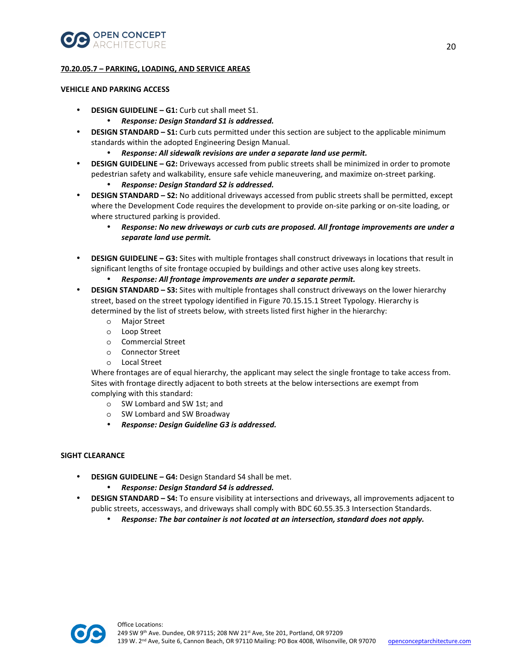

## **70.20.05.7 – PARKING, LOADING, AND SERVICE AREAS**

## **VEHICLE AND PARKING ACCESS**

- **DESIGN GUIDELINE G1:** Curb cut shall meet S1.
	- *Response: Design Standard S1 is addressed.*
- **DESIGN STANDARD S1:** Curb cuts permitted under this section are subject to the applicable minimum standards within the adopted Engineering Design Manual.
	- *Response: All sidewalk revisions are under a separate land use permit.*
- **DESIGN GUIDELINE G2:** Driveways accessed from public streets shall be minimized in order to promote pedestrian safety and walkability, ensure safe vehicle maneuvering, and maximize on-street parking.
	- *Response: Design Standard S2 is addressed.*
- **DESIGN STANDARD S2:** No additional driveways accessed from public streets shall be permitted, except where the Development Code requires the development to provide on-site parking or on-site loading, or where structured parking is provided.
	- *Response: No new driveways or curb cuts are proposed. All frontage improvements are under a separate land use permit.*
- **DESIGN GUIDELINE G3:** Sites with multiple frontages shall construct driveways in locations that result in significant lengths of site frontage occupied by buildings and other active uses along key streets.
	- *Response: All frontage improvements are under a separate permit.*
- **DESIGN STANDARD S3:** Sites with multiple frontages shall construct driveways on the lower hierarchy street, based on the street typology identified in Figure 70.15.15.1 Street Typology. Hierarchy is determined by the list of streets below, with streets listed first higher in the hierarchy:
	- o Major Street
	- o Loop Street
	- o Commercial Street
	- o Connector Street
	- o Local Street

Where frontages are of equal hierarchy, the applicant may select the single frontage to take access from. Sites with frontage directly adjacent to both streets at the below intersections are exempt from complying with this standard:

- o SW Lombard and SW 1st; and
- o SW Lombard and SW Broadway
- *Response: Design Guideline G3 is addressed.*

## **SIGHT CLEARANCE**

- **DESIGN GUIDELINE G4:** Design Standard S4 shall be met.
	- *Response: Design Standard S4 is addressed.*
- **DESIGN STANDARD S4:** To ensure visibility at intersections and driveways, all improvements adjacent to public streets, accessways, and driveways shall comply with BDC 60.55.35.3 Intersection Standards.
	- *Response: The bar container is not located at an intersection, standard does not apply.*

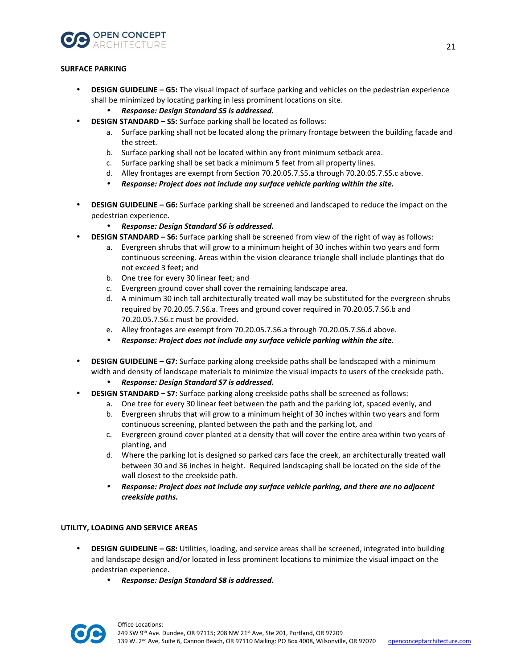

## **SURFACE PARKING**

- **DESIGN GUIDELINE G5:** The visual impact of surface parking and vehicles on the pedestrian experience shall be minimized by locating parking in less prominent locations on site.
	- *Response: Design Standard S5 is addressed.*
	- **DESIGN STANDARD S5:** Surface parking shall be located as follows:
		- a. Surface parking shall not be located along the primary frontage between the building facade and the street.
		- b. Surface parking shall not be located within any front minimum setback area.
		- c. Surface parking shall be set back a minimum 5 feet from all property lines.
		- d. Alley frontages are exempt from Section 70.20.05.7.S5.a through 70.20.05.7.S5.c above.
		- *Response: Project does not include any surface vehicle parking within the site.*
- **DESIGN GUIDELINE G6:** Surface parking shall be screened and landscaped to reduce the impact on the pedestrian experience.
	- *Response: Design Standard S6 is addressed.*
- **DESIGN STANDARD S6:** Surface parking shall be screened from view of the right of way as follows:
	- a. Evergreen shrubs that will grow to a minimum height of 30 inches within two years and form continuous screening. Areas within the vision clearance triangle shall include plantings that do not exceed 3 feet; and
	- b. One tree for every 30 linear feet; and
	- c. Evergreen ground cover shall cover the remaining landscape area.
	- d. A minimum 30 inch tall architecturally treated wall may be substituted for the evergreen shrubs required by 70.20.05.7.S6.a. Trees and ground cover required in 70.20.05.7.S6.b and 70.20.05.7.S6.c must be provided.
	- e. Alley frontages are exempt from 70.20.05.7.S6.a through 70.20.05.7.S6.d above.
	- *Response: Project does not include any surface vehicle parking within the site.*
- **DESIGN GUIDELINE G7:** Surface parking along creekside paths shall be landscaped with a minimum width and density of landscape materials to minimize the visual impacts to users of the creekside path.
	- *Response: Design Standard S7 is addressed.*
- **DESIGN STANDARD S7:** Surface parking along creekside paths shall be screened as follows:
	- a. One tree for every 30 linear feet between the path and the parking lot, spaced evenly, and
	- b. Evergreen shrubs that will grow to a minimum height of 30 inches within two years and form continuous screening, planted between the path and the parking lot, and
	- c. Evergreen ground cover planted at a density that will cover the entire area within two years of planting, and
	- d. Where the parking lot is designed so parked cars face the creek, an architecturally treated wall between 30 and 36 inches in height. Required landscaping shall be located on the side of the wall closest to the creekside path.
	- *Response: Project does not include any surface vehicle parking, and there are no adjacent creekside paths.*

#### **UTILITY, LOADING AND SERVICE AREAS**

- **DESIGN GUIDELINE G8:** Utilities, loading, and service areas shall be screened, integrated into building and landscape design and/or located in less prominent locations to minimize the visual impact on the pedestrian experience.
	- *Response: Design Standard S8 is addressed.*

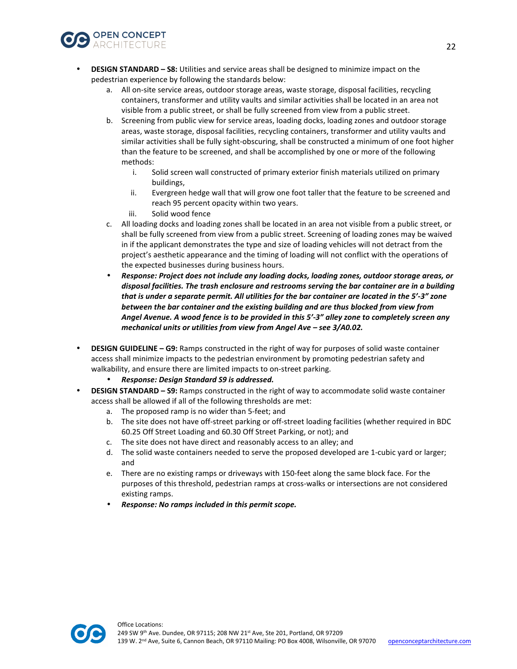

- **DESIGN STANDARD S8:** Utilities and service areas shall be designed to minimize impact on the pedestrian experience by following the standards below:
	- a. All on-site service areas, outdoor storage areas, waste storage, disposal facilities, recycling containers, transformer and utility vaults and similar activities shall be located in an area not visible from a public street, or shall be fully screened from view from a public street.
	- b. Screening from public view for service areas, loading docks, loading zones and outdoor storage areas, waste storage, disposal facilities, recycling containers, transformer and utility vaults and similar activities shall be fully sight-obscuring, shall be constructed a minimum of one foot higher than the feature to be screened, and shall be accomplished by one or more of the following methods:
		- i. Solid screen wall constructed of primary exterior finish materials utilized on primary buildings,
		- ii. Evergreen hedge wall that will grow one foot taller that the feature to be screened and reach 95 percent opacity within two years.
		- iii. Solid wood fence
	- c. All loading docks and loading zones shall be located in an area not visible from a public street, or shall be fully screened from view from a public street. Screening of loading zones may be waived in if the applicant demonstrates the type and size of loading vehicles will not detract from the project's aesthetic appearance and the timing of loading will not conflict with the operations of the expected businesses during business hours.
	- *Response: Project does not include any loading docks, loading zones, outdoor storage areas, or disposal facilities. The trash enclosure and restrooms serving the bar container are in a building that is under a separate permit. All utilities for the bar container are located in the 5'-3" zone between the bar container and the existing building and are thus blocked from view from Angel Avenue. A wood fence is to be provided in this 5'-3" alley zone to completely screen any mechanical units or utilities from view from Angel Ave – see 3/A0.02.*
- **DESIGN GUIDELINE G9:** Ramps constructed in the right of way for purposes of solid waste container access shall minimize impacts to the pedestrian environment by promoting pedestrian safety and walkability, and ensure there are limited impacts to on-street parking.
	- *Response: Design Standard S9 is addressed.*
- **DESIGN STANDARD S9:** Ramps constructed in the right of way to accommodate solid waste container access shall be allowed if all of the following thresholds are met:
	- a. The proposed ramp is no wider than 5-feet; and
	- b. The site does not have off-street parking or off-street loading facilities (whether required in BDC 60.25 Off Street Loading and 60.30 Off Street Parking, or not); and
	- c. The site does not have direct and reasonably access to an alley; and
	- d. The solid waste containers needed to serve the proposed developed are 1-cubic yard or larger; and
	- e. There are no existing ramps or driveways with 150-feet along the same block face. For the purposes of this threshold, pedestrian ramps at cross-walks or intersections are not considered existing ramps.
	- *Response: No ramps included in this permit scope.*

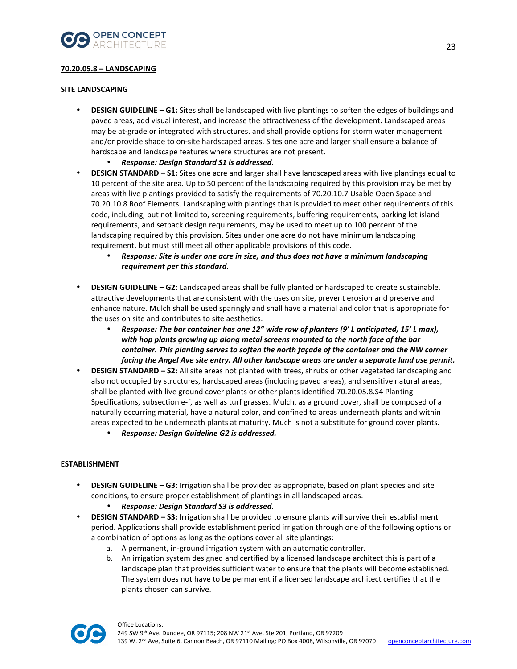

## **70.20.05.8 – LANDSCAPING**

## **SITE LANDSCAPING**

- **DESIGN GUIDELINE G1:** Sites shall be landscaped with live plantings to soften the edges of buildings and paved areas, add visual interest, and increase the attractiveness of the development. Landscaped areas may be at-grade or integrated with structures. and shall provide options for storm water management and/or provide shade to on-site hardscaped areas. Sites one acre and larger shall ensure a balance of hardscape and landscape features where structures are not present.
	- *Response: Design Standard S1 is addressed.*
- **DESIGN STANDARD S1:** Sites one acre and larger shall have landscaped areas with live plantings equal to 10 percent of the site area. Up to 50 percent of the landscaping required by this provision may be met by areas with live plantings provided to satisfy the requirements of 70.20.10.7 Usable Open Space and 70.20.10.8 Roof Elements. Landscaping with plantings that is provided to meet other requirements of this code, including, but not limited to, screening requirements, buffering requirements, parking lot island requirements, and setback design requirements, may be used to meet up to 100 percent of the landscaping required by this provision. Sites under one acre do not have minimum landscaping requirement, but must still meet all other applicable provisions of this code.
	- *Response: Site is under one acre in size, and thus does not have a minimum landscaping requirement per this standard.*
- **DESIGN GUIDELINE G2:** Landscaped areas shall be fully planted or hardscaped to create sustainable, attractive developments that are consistent with the uses on site, prevent erosion and preserve and enhance nature. Mulch shall be used sparingly and shall have a material and color that is appropriate for the uses on site and contributes to site aesthetics.
	- *Response: The bar container has one 12" wide row of planters (9' L anticipated, 15' L max), with hop plants growing up along metal screens mounted to the north face of the bar container. This planting serves to soften the north façade of the container and the NW corner facing the Angel Ave site entry. All other landscape areas are under a separate land use permit.*
- **DESIGN STANDARD S2:** All site areas not planted with trees, shrubs or other vegetated landscaping and also not occupied by structures, hardscaped areas (including paved areas), and sensitive natural areas, shall be planted with live ground cover plants or other plants identified 70.20.05.8.S4 Planting Specifications, subsection e-f, as well as turf grasses. Mulch, as a ground cover, shall be composed of a naturally occurring material, have a natural color, and confined to areas underneath plants and within areas expected to be underneath plants at maturity. Much is not a substitute for ground cover plants.
	- *Response: Design Guideline G2 is addressed.*

## **ESTABLISHMENT**

- **DESIGN GUIDELINE G3:** Irrigation shall be provided as appropriate, based on plant species and site conditions, to ensure proper establishment of plantings in all landscaped areas.
	- *Response: Design Standard S3 is addressed.*
- **DESIGN STANDARD S3:** Irrigation shall be provided to ensure plants will survive their establishment period. Applications shall provide establishment period irrigation through one of the following options or a combination of options as long as the options cover all site plantings:
	- a. A permanent, in-ground irrigation system with an automatic controller.
	- b. An irrigation system designed and certified by a licensed landscape architect this is part of a landscape plan that provides sufficient water to ensure that the plants will become established. The system does not have to be permanent if a licensed landscape architect certifies that the plants chosen can survive.

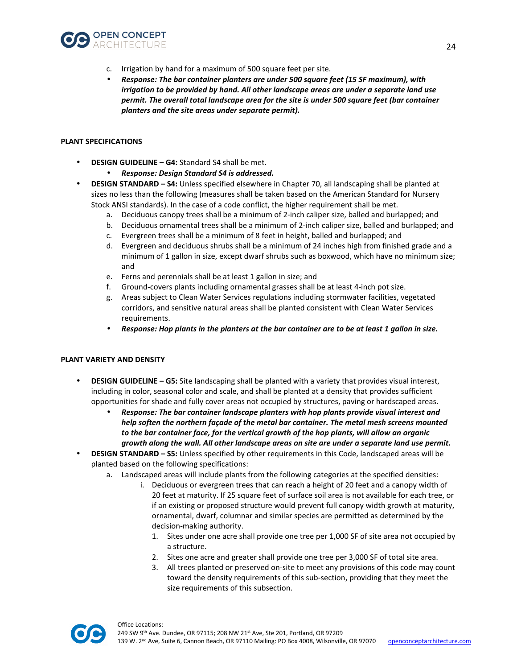

- c. Irrigation by hand for a maximum of 500 square feet per site.
- *Response: The bar container planters are under 500 square feet (15 SF maximum), with irrigation to be provided by hand. All other landscape areas are under a separate land use permit. The overall total landscape area for the site is under 500 square feet (bar container planters and the site areas under separate permit).*

## **PLANT SPECIFICATIONS**

- **DESIGN GUIDELINE G4:** Standard S4 shall be met.
	- *Response: Design Standard S4 is addressed.*
- **DESIGN STANDARD S4:** Unless specified elsewhere in Chapter 70, all landscaping shall be planted at sizes no less than the following (measures shall be taken based on the American Standard for Nursery Stock ANSI standards). In the case of a code conflict, the higher requirement shall be met.
	- a. Deciduous canopy trees shall be a minimum of 2-inch caliper size, balled and burlapped; and
	- b. Deciduous ornamental trees shall be a minimum of 2-inch caliper size, balled and burlapped; and
	- c. Evergreen trees shall be a minimum of 8 feet in height, balled and burlapped; and
	- d. Evergreen and deciduous shrubs shall be a minimum of 24 inches high from finished grade and a minimum of 1 gallon in size, except dwarf shrubs such as boxwood, which have no minimum size; and
	- e. Ferns and perennials shall be at least 1 gallon in size; and
	- f. Ground-covers plants including ornamental grasses shall be at least 4-inch pot size.
	- g. Areas subject to Clean Water Services regulations including stormwater facilities, vegetated corridors, and sensitive natural areas shall be planted consistent with Clean Water Services requirements.
	- *Response: Hop plants in the planters at the bar container are to be at least 1 gallon in size.*

## **PLANT VARIETY AND DENSITY**

- **DESIGN GUIDELINE G5:** Site landscaping shall be planted with a variety that provides visual interest, including in color, seasonal color and scale, and shall be planted at a density that provides sufficient opportunities for shade and fully cover areas not occupied by structures, paving or hardscaped areas.
	- *Response: The bar container landscape planters with hop plants provide visual interest and help soften the northern façade of the metal bar container. The metal mesh screens mounted to the bar container face, for the vertical growth of the hop plants, will allow an organic growth along the wall. All other landscape areas on site are under a separate land use permit.*
- **DESIGN STANDARD S5:** Unless specified by other requirements in this Code, landscaped areas will be planted based on the following specifications:
	- a. Landscaped areas will include plants from the following categories at the specified densities:
		- i. Deciduous or evergreen trees that can reach a height of 20 feet and a canopy width of 20 feet at maturity. If 25 square feet of surface soil area is not available for each tree, or if an existing or proposed structure would prevent full canopy width growth at maturity, ornamental, dwarf, columnar and similar species are permitted as determined by the decision-making authority.
			- 1. Sites under one acre shall provide one tree per 1,000 SF of site area not occupied by a structure.
			- 2. Sites one acre and greater shall provide one tree per 3,000 SF of total site area.
			- 3. All trees planted or preserved on-site to meet any provisions of this code may count toward the density requirements of this sub-section, providing that they meet the size requirements of this subsection.

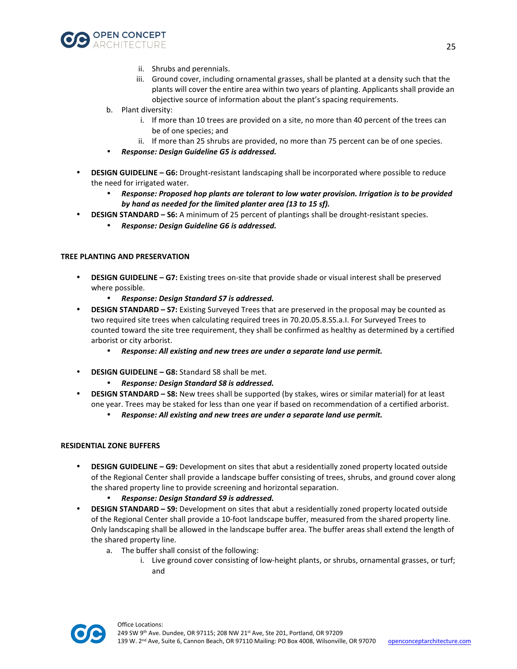

- ii. Shrubs and perennials.
- iii. Ground cover, including ornamental grasses, shall be planted at a density such that the plants will cover the entire area within two years of planting. Applicants shall provide an objective source of information about the plant's spacing requirements.
- b. Plant diversity:
	- i. If more than 10 trees are provided on a site, no more than 40 percent of the trees can be of one species; and
	- ii. If more than 25 shrubs are provided, no more than 75 percent can be of one species.
- *Response: Design Guideline G5 is addressed.*
- **DESIGN GUIDELINE G6:** Drought-resistant landscaping shall be incorporated where possible to reduce the need for irrigated water.
	- *Response: Proposed hop plants are tolerant to low water provision. Irrigation is to be provided by hand as needed for the limited planter area (13 to 15 sf).*
- **DESIGN STANDARD S6:** A minimum of 25 percent of plantings shall be drought-resistant species.
	- *Response: Design Guideline G6 is addressed.*

#### **TREE PLANTING AND PRESERVATION**

- **DESIGN GUIDELINE G7:** Existing trees on-site that provide shade or visual interest shall be preserved where possible.
	- *Response: Design Standard S7 is addressed.*
- **DESIGN STANDARD S7:** Existing Surveyed Trees that are preserved in the proposal may be counted as two required site trees when calculating required trees in 70.20.05.8.S5.a.I. For Surveyed Trees to counted toward the site tree requirement, they shall be confirmed as healthy as determined by a certified arborist or city arborist.
	- *Response: All existing and new trees are under a separate land use permit.*
- **DESIGN GUIDELINE G8:** Standard S8 shall be met.
	- *Response: Design Standard S8 is addressed.*
- **DESIGN STANDARD S8:** New trees shall be supported (by stakes, wires or similar material) for at least one year. Trees may be staked for less than one year if based on recommendation of a certified arborist.
	- *Response: All existing and new trees are under a separate land use permit.*

#### **RESIDENTIAL ZONE BUFFERS**

- **DESIGN GUIDELINE G9:** Development on sites that abut a residentially zoned property located outside of the Regional Center shall provide a landscape buffer consisting of trees, shrubs, and ground cover along the shared property line to provide screening and horizontal separation.
	- *Response: Design Standard S9 is addressed.*
- **DESIGN STANDARD S9:** Development on sites that abut a residentially zoned property located outside of the Regional Center shall provide a 10-foot landscape buffer, measured from the shared property line. Only landscaping shall be allowed in the landscape buffer area. The buffer areas shall extend the length of the shared property line.
	- a. The buffer shall consist of the following:
		- i. Live ground cover consisting of low-height plants, or shrubs, ornamental grasses, or turf; and

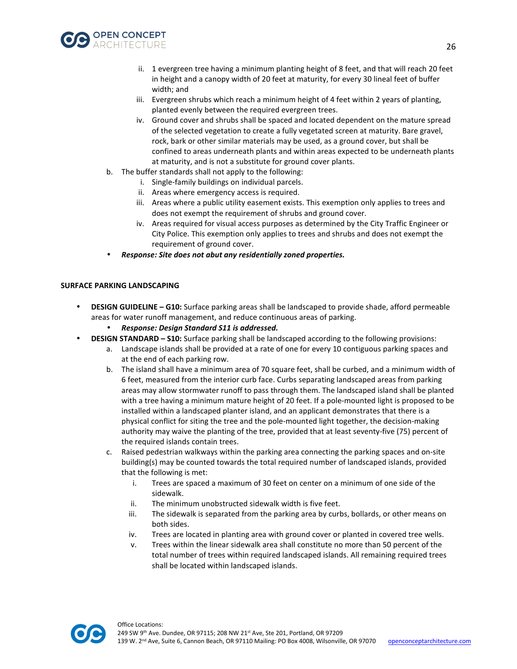

- ii. 1 evergreen tree having a minimum planting height of 8 feet, and that will reach 20 feet in height and a canopy width of 20 feet at maturity, for every 30 lineal feet of buffer width; and
- iii. Evergreen shrubs which reach a minimum height of 4 feet within 2 years of planting, planted evenly between the required evergreen trees.
- iv. Ground cover and shrubs shall be spaced and located dependent on the mature spread of the selected vegetation to create a fully vegetated screen at maturity. Bare gravel, rock, bark or other similar materials may be used, as a ground cover, but shall be confined to areas underneath plants and within areas expected to be underneath plants at maturity, and is not a substitute for ground cover plants.
- b. The buffer standards shall not apply to the following:
	- i. Single-family buildings on individual parcels.
	- ii. Areas where emergency access is required.
	- iii. Areas where a public utility easement exists. This exemption only applies to trees and does not exempt the requirement of shrubs and ground cover.
	- iv. Areas required for visual access purposes as determined by the City Traffic Engineer or City Police. This exemption only applies to trees and shrubs and does not exempt the requirement of ground cover.
- *Response: Site does not abut any residentially zoned properties.*

## **SURFACE PARKING LANDSCAPING**

- **DESIGN GUIDELINE G10:** Surface parking areas shall be landscaped to provide shade, afford permeable areas for water runoff management, and reduce continuous areas of parking.
	- *Response: Design Standard S11 is addressed.*
- **DESIGN STANDARD S10:** Surface parking shall be landscaped according to the following provisions:
	- a. Landscape islands shall be provided at a rate of one for every 10 contiguous parking spaces and at the end of each parking row.
	- b. The island shall have a minimum area of 70 square feet, shall be curbed, and a minimum width of 6 feet, measured from the interior curb face. Curbs separating landscaped areas from parking areas may allow stormwater runoff to pass through them. The landscaped island shall be planted with a tree having a minimum mature height of 20 feet. If a pole-mounted light is proposed to be installed within a landscaped planter island, and an applicant demonstrates that there is a physical conflict for siting the tree and the pole-mounted light together, the decision-making authority may waive the planting of the tree, provided that at least seventy-five (75) percent of the required islands contain trees.
	- c. Raised pedestrian walkways within the parking area connecting the parking spaces and on-site building(s) may be counted towards the total required number of landscaped islands, provided that the following is met:
		- i. Trees are spaced a maximum of 30 feet on center on a minimum of one side of the sidewalk.
		- ii. The minimum unobstructed sidewalk width is five feet.
		- iii. The sidewalk is separated from the parking area by curbs, bollards, or other means on both sides.
		- iv. Trees are located in planting area with ground cover or planted in covered tree wells.
		- v. Trees within the linear sidewalk area shall constitute no more than 50 percent of the total number of trees within required landscaped islands. All remaining required trees shall be located within landscaped islands.

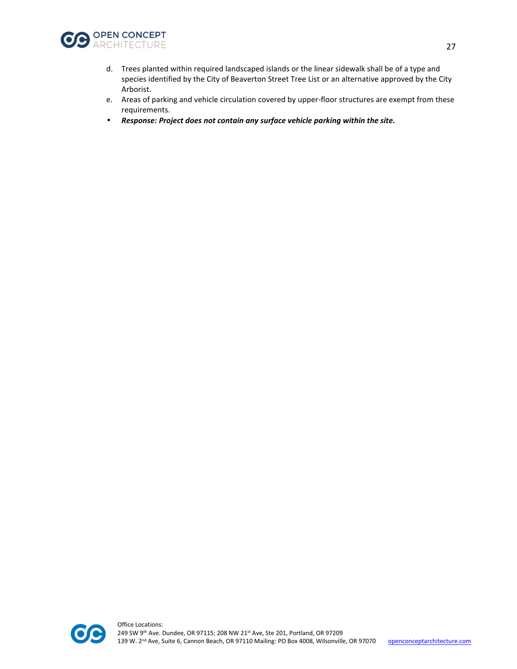

- d. Trees planted within required landscaped islands or the linear sidewalk shall be of a type and species identified by the City of Beaverton Street Tree List or an alternative approved by the City Arborist.
- e. Areas of parking and vehicle circulation covered by upper-floor structures are exempt from these requirements.
- *Response: Project does not contain any surface vehicle parking within the site.*

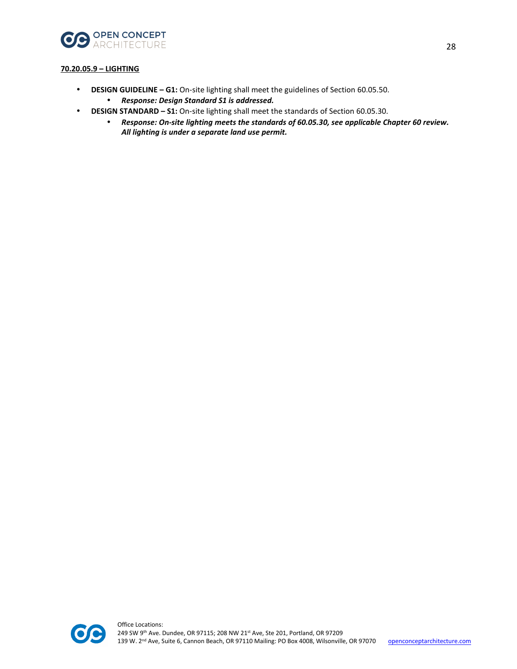

## **70.20.05.9 – LIGHTING**

- **DESIGN GUIDELINE G1:** On-site lighting shall meet the guidelines of Section 60.05.50.
	- *Response: Design Standard S1 is addressed.*
- **DESIGN STANDARD S1:** On-site lighting shall meet the standards of Section 60.05.30.
	- *Response: On-site lighting meets the standards of 60.05.30, see applicable Chapter 60 review. All lighting is under a separate land use permit.*

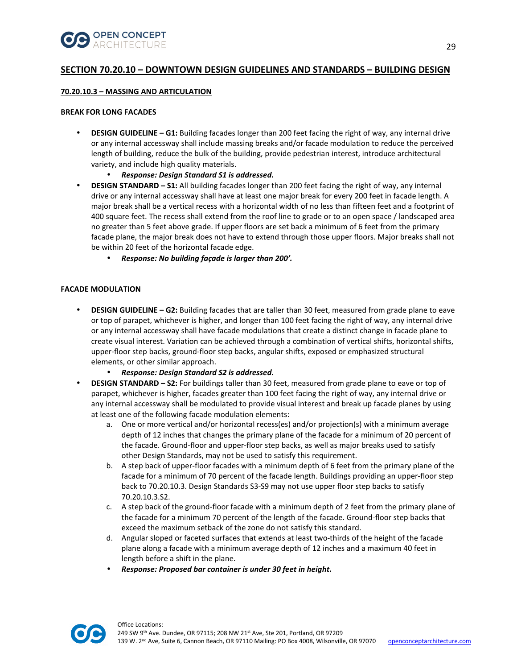

# **SECTION 70.20.10 – DOWNTOWN DESIGN GUIDELINES AND STANDARDS – BUILDING DESIGN**

#### **70.20.10.3 – MASSING AND ARTICULATION**

#### **BREAK FOR LONG FACADES**

- **DESIGN GUIDELINE G1:** Building facades longer than 200 feet facing the right of way, any internal drive or any internal accessway shall include massing breaks and/or facade modulation to reduce the perceived length of building, reduce the bulk of the building, provide pedestrian interest, introduce architectural variety, and include high quality materials.
	- *Response: Design Standard S1 is addressed.*
- **DESIGN STANDARD S1:** All building facades longer than 200 feet facing the right of way, any internal drive or any internal accessway shall have at least one major break for every 200 feet in facade length. A major break shall be a vertical recess with a horizontal width of no less than fifteen feet and a footprint of 400 square feet. The recess shall extend from the roof line to grade or to an open space / landscaped area no greater than 5 feet above grade. If upper floors are set back a minimum of 6 feet from the primary facade plane, the major break does not have to extend through those upper floors. Major breaks shall not be within 20 feet of the horizontal facade edge.
	- *Response: No building façade is larger than 200'.*

## **FACADE MODULATION**

- **DESIGN GUIDELINE G2:** Building facades that are taller than 30 feet, measured from grade plane to eave or top of parapet, whichever is higher, and longer than 100 feet facing the right of way, any internal drive or any internal accessway shall have facade modulations that create a distinct change in facade plane to create visual interest. Variation can be achieved through a combination of vertical shifts, horizontal shifts, upper-floor step backs, ground-floor step backs, angular shifts, exposed or emphasized structural elements, or other similar approach.
	- *Response: Design Standard S2 is addressed.*
- **DESIGN STANDARD S2:** For buildings taller than 30 feet, measured from grade plane to eave or top of parapet, whichever is higher, facades greater than 100 feet facing the right of way, any internal drive or any internal accessway shall be modulated to provide visual interest and break up facade planes by using at least one of the following facade modulation elements:
	- a. One or more vertical and/or horizontal recess(es) and/or projection(s) with a minimum average depth of 12 inches that changes the primary plane of the facade for a minimum of 20 percent of the facade. Ground-floor and upper-floor step backs, as well as major breaks used to satisfy other Design Standards, may not be used to satisfy this requirement.
	- b. A step back of upper-floor facades with a minimum depth of 6 feet from the primary plane of the facade for a minimum of 70 percent of the facade length. Buildings providing an upper-floor step back to 70.20.10.3. Design Standards S3-S9 may not use upper floor step backs to satisfy 70.20.10.3.S2.
	- c. A step back of the ground-floor facade with a minimum depth of 2 feet from the primary plane of the facade for a minimum 70 percent of the length of the facade. Ground-floor step backs that exceed the maximum setback of the zone do not satisfy this standard.
	- d. Angular sloped or faceted surfaces that extends at least two-thirds of the height of the facade plane along a facade with a minimum average depth of 12 inches and a maximum 40 feet in length before a shift in the plane.
	- *Response: Proposed bar container is under 30 feet in height.*

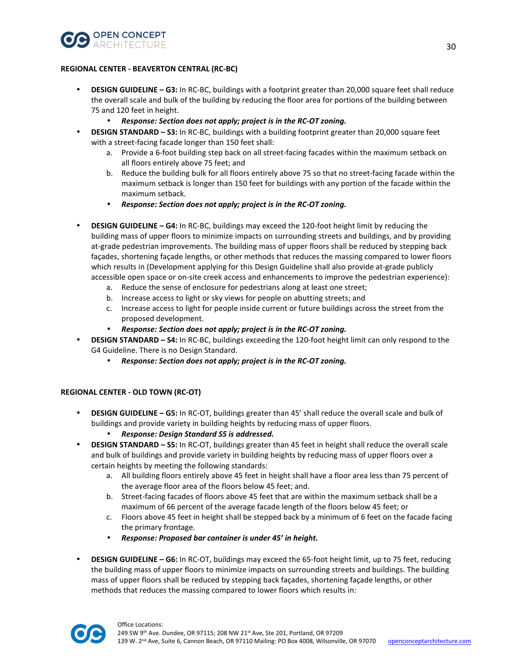

## **REGIONAL CENTER - BEAVERTON CENTRAL (RC-BC)**

- **DESIGN GUIDELINE G3:** In RC-BC, buildings with a footprint greater than 20,000 square feet shall reduce the overall scale and bulk of the building by reducing the floor area for portions of the building between 75 and 120 feet in height.
	- *Response: Section does not apply; project is in the RC-OT zoning.*
- **DESIGN STANDARD S3:** In RC-BC, buildings with a building footprint greater than 20,000 square feet with a street-facing facade longer than 150 feet shall:
	- a. Provide a 6-foot building step back on all street-facing facades within the maximum setback on all floors entirely above 75 feet; and
	- b. Reduce the building bulk for all floors entirely above 75 so that no street-facing facade within the maximum setback is longer than 150 feet for buildings with any portion of the facade within the maximum setback.
	- *Response: Section does not apply; project is in the RC-OT zoning.*
- **DESIGN GUIDELINE G4:** In RC-BC, buildings may exceed the 120-foot height limit by reducing the building mass of upper floors to minimize impacts on surrounding streets and buildings, and by providing at-grade pedestrian improvements. The building mass of upper floors shall be reduced by stepping back façades, shortening façade lengths, or other methods that reduces the massing compared to lower floors which results in (Development applying for this Design Guideline shall also provide at-grade publicly accessible open space or on-site creek access and enhancements to improve the pedestrian experience):
	- a. Reduce the sense of enclosure for pedestrians along at least one street;
	- b. Increase access to light or sky views for people on abutting streets; and
	- c. Increase access to light for people inside current or future buildings across the street from the proposed development.
	- *Response: Section does not apply; project is in the RC-OT zoning.*
- **DESIGN STANDARD S4:** In RC-BC, buildings exceeding the 120-foot height limit can only respond to the G4 Guideline. There is no Design Standard.
	- *Response: Section does not apply; project is in the RC-OT zoning.*

## **REGIONAL CENTER - OLD TOWN (RC-OT)**

- **DESIGN GUIDELINE G5:** In RC-OT, buildings greater than 45' shall reduce the overall scale and bulk of buildings and provide variety in building heights by reducing mass of upper floors.
	- *Response: Design Standard S5 is addressed.*
- **DESIGN STANDARD S5:** In RC-OT, buildings greater than 45 feet in height shall reduce the overall scale and bulk of buildings and provide variety in building heights by reducing mass of upper floors over a certain heights by meeting the following standards:
	- a. All building floors entirely above 45 feet in height shall have a floor area less than 75 percent of the average floor area of the floors below 45 feet; and.
	- b. Street-facing facades of floors above 45 feet that are within the maximum setback shall be a maximum of 66 percent of the average facade length of the floors below 45 feet; or
	- c. Floors above 45 feet in height shall be stepped back by a minimum of 6 feet on the facade facing the primary frontage.
	- *Response: Proposed bar container is under 45' in height.*
- **DESIGN GUIDELINE G6:** In RC-OT, buildings may exceed the 65-foot height limit, up to 75 feet, reducing the building mass of upper floors to minimize impacts on surrounding streets and buildings. The building mass of upper floors shall be reduced by stepping back façades, shortening façade lengths, or other methods that reduces the massing compared to lower floors which results in:

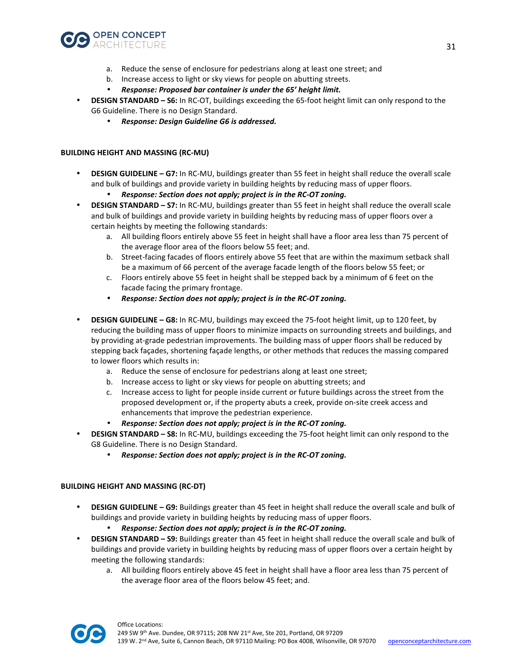![](_page_30_Picture_0.jpeg)

- a. Reduce the sense of enclosure for pedestrians along at least one street; and
- b. Increase access to light or sky views for people on abutting streets.
- *Response: Proposed bar container is under the 65' height limit.*
- **DESIGN STANDARD S6:** In RC-OT, buildings exceeding the 65-foot height limit can only respond to the G6 Guideline. There is no Design Standard.
	- *Response: Design Guideline G6 is addressed.*

## **BUILDING HEIGHT AND MASSING (RC-MU)**

- **DESIGN GUIDELINE G7:** In RC-MU, buildings greater than 55 feet in height shall reduce the overall scale and bulk of buildings and provide variety in building heights by reducing mass of upper floors.
	- *Response: Section does not apply; project is in the RC-OT zoning.*
- **DESIGN STANDARD S7:** In RC-MU, buildings greater than 55 feet in height shall reduce the overall scale and bulk of buildings and provide variety in building heights by reducing mass of upper floors over a certain heights by meeting the following standards:
	- a. All building floors entirely above 55 feet in height shall have a floor area less than 75 percent of the average floor area of the floors below 55 feet; and.
	- b. Street-facing facades of floors entirely above 55 feet that are within the maximum setback shall be a maximum of 66 percent of the average facade length of the floors below 55 feet; or
	- c. Floors entirely above 55 feet in height shall be stepped back by a minimum of 6 feet on the facade facing the primary frontage.
	- *Response: Section does not apply; project is in the RC-OT zoning.*
- **DESIGN GUIDELINE G8:** In RC-MU, buildings may exceed the 75-foot height limit, up to 120 feet, by reducing the building mass of upper floors to minimize impacts on surrounding streets and buildings, and by providing at-grade pedestrian improvements. The building mass of upper floors shall be reduced by stepping back façades, shortening façade lengths, or other methods that reduces the massing compared to lower floors which results in:
	- a. Reduce the sense of enclosure for pedestrians along at least one street;
	- b. Increase access to light or sky views for people on abutting streets; and
	- c. Increase access to light for people inside current or future buildings across the street from the proposed development or, if the property abuts a creek, provide on-site creek access and enhancements that improve the pedestrian experience.
	- *Response: Section does not apply; project is in the RC-OT zoning.*
- **DESIGN STANDARD S8:** In RC-MU, buildings exceeding the 75-foot height limit can only respond to the G8 Guideline. There is no Design Standard.
	- *Response: Section does not apply; project is in the RC-OT zoning.*

#### **BUILDING HEIGHT AND MASSING (RC-DT)**

- **DESIGN GUIDELINE G9:** Buildings greater than 45 feet in height shall reduce the overall scale and bulk of buildings and provide variety in building heights by reducing mass of upper floors.
	- *Response: Section does not apply; project is in the RC-OT zoning.*
- **DESIGN STANDARD S9:** Buildings greater than 45 feet in height shall reduce the overall scale and bulk of buildings and provide variety in building heights by reducing mass of upper floors over a certain height by meeting the following standards:
	- a. All building floors entirely above 45 feet in height shall have a floor area less than 75 percent of the average floor area of the floors below 45 feet; and.

![](_page_30_Picture_26.jpeg)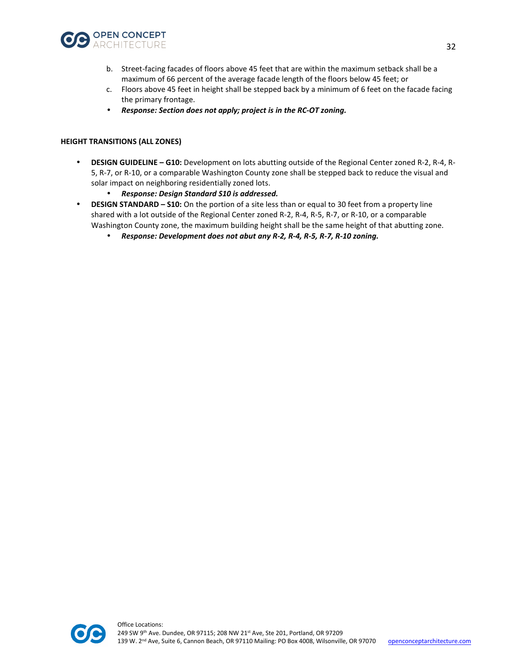![](_page_31_Picture_0.jpeg)

- b. Street-facing facades of floors above 45 feet that are within the maximum setback shall be a maximum of 66 percent of the average facade length of the floors below 45 feet; or
- c. Floors above 45 feet in height shall be stepped back by a minimum of 6 feet on the facade facing the primary frontage.
- *Response: Section does not apply; project is in the RC-OT zoning.*

#### **HEIGHT TRANSITIONS (ALL ZONES)**

- **DESIGN GUIDELINE G10:** Development on lots abutting outside of the Regional Center zoned R-2, R-4, R-5, R-7, or R-10, or a comparable Washington County zone shall be stepped back to reduce the visual and solar impact on neighboring residentially zoned lots.
	- *Response: Design Standard S10 is addressed.*
- **DESIGN STANDARD S10:** On the portion of a site less than or equal to 30 feet from a property line shared with a lot outside of the Regional Center zoned R-2, R-4, R-5, R-7, or R-10, or a comparable Washington County zone, the maximum building height shall be the same height of that abutting zone.
	- *Response: Development does not abut any R-2, R-4, R-5, R-7, R-10 zoning.*

![](_page_31_Picture_9.jpeg)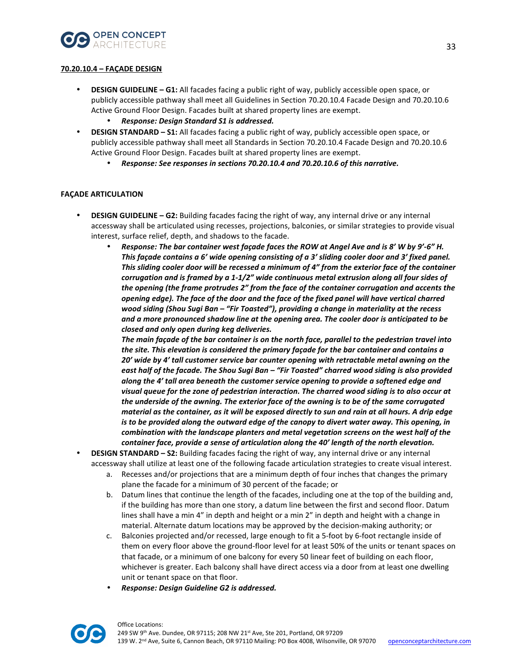![](_page_32_Picture_0.jpeg)

## **70.20.10.4 – FAÇADE DESIGN**

- **DESIGN GUIDELINE G1:** All facades facing a public right of way, publicly accessible open space, or publicly accessible pathway shall meet all Guidelines in Section 70.20.10.4 Facade Design and 70.20.10.6 Active Ground Floor Design. Facades built at shared property lines are exempt.
	- *Response: Design Standard S1 is addressed.*
- **DESIGN STANDARD S1:** All facades facing a public right of way, publicly accessible open space, or publicly accessible pathway shall meet all Standards in Section 70.20.10.4 Facade Design and 70.20.10.6 Active Ground Floor Design. Facades built at shared property lines are exempt.
	- *Response: See responses in sections 70.20.10.4 and 70.20.10.6 of this narrative.*

## **FAÇADE ARTICULATION**

- **DESIGN GUIDELINE G2:** Building facades facing the right of way, any internal drive or any internal accessway shall be articulated using recesses, projections, balconies, or similar strategies to provide visual interest, surface relief, depth, and shadows to the facade.
	- *Response: The bar container west façade faces the ROW at Angel Ave and is 8' W by 9'-6" H. This façade contains a 6' wide opening consisting of a 3' sliding cooler door and 3' fixed panel. This sliding cooler door will be recessed a minimum of 4" from the exterior face of the container corrugation and is framed by a 1-1/2" wide continuous metal extrusion along all four sides of the opening (the frame protrudes 2" from the face of the container corrugation and accents the opening edge). The face of the door and the face of the fixed panel will have vertical charred wood siding (Shou Sugi Ban – "Fir Toasted"), providing a change in materiality at the recess and a more pronounced shadow line at the opening area. The cooler door is anticipated to be closed and only open during keg deliveries.*

*The main façade of the bar container is on the north face, parallel to the pedestrian travel into the site. This elevation is considered the primary façade for the bar container and contains a 20' wide by 4' tall customer service bar counter opening with retractable metal awning on the east half of the facade. The Shou Sugi Ban – "Fir Toasted" charred wood siding is also provided along the 4' tall area beneath the customer service opening to provide a softened edge and visual queue for the zone of pedestrian interaction. The charred wood siding is to also occur at the underside of the awning. The exterior face of the awning is to be of the same corrugated material as the container, as it will be exposed directly to sun and rain at all hours. A drip edge is to be provided along the outward edge of the canopy to divert water away. This opening, in combination with the landscape planters and metal vegetation screens on the west half of the container face, provide a sense of articulation along the 40' length of the north elevation.* 

- **DESIGN STANDARD S2:** Building facades facing the right of way, any internal drive or any internal accessway shall utilize at least one of the following facade articulation strategies to create visual interest.
	- a. Recesses and/or projections that are a minimum depth of four inches that changes the primary plane the facade for a minimum of 30 percent of the facade; or
	- b. Datum lines that continue the length of the facades, including one at the top of the building and, if the building has more than one story, a datum line between the first and second floor. Datum lines shall have a min 4" in depth and height or a min 2" in depth and height with a change in material. Alternate datum locations may be approved by the decision-making authority; or
	- c. Balconies projected and/or recessed, large enough to fit a 5-foot by 6-foot rectangle inside of them on every floor above the ground-floor level for at least 50% of the units or tenant spaces on that facade, or a minimum of one balcony for every 50 linear feet of building on each floor, whichever is greater. Each balcony shall have direct access via a door from at least one dwelling unit or tenant space on that floor.
	- *Response: Design Guideline G2 is addressed.*

![](_page_32_Picture_15.jpeg)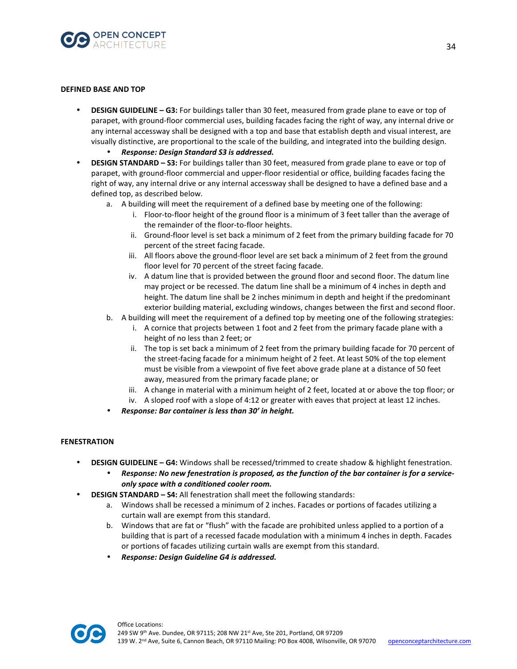![](_page_33_Picture_0.jpeg)

#### **DEFINED BASE AND TOP**

- **DESIGN GUIDELINE G3:** For buildings taller than 30 feet, measured from grade plane to eave or top of parapet, with ground-floor commercial uses, building facades facing the right of way, any internal drive or any internal accessway shall be designed with a top and base that establish depth and visual interest, are visually distinctive, are proportional to the scale of the building, and integrated into the building design.
	- *Response: Design Standard S3 is addressed.*
- **DESIGN STANDARD S3:** For buildings taller than 30 feet, measured from grade plane to eave or top of parapet, with ground-floor commercial and upper-floor residential or office, building facades facing the right of way, any internal drive or any internal accessway shall be designed to have a defined base and a defined top, as described below.
	- a. A building will meet the requirement of a defined base by meeting one of the following:
		- i. Floor-to-floor height of the ground floor is a minimum of 3 feet taller than the average of the remainder of the floor-to-floor heights.
		- ii. Ground-floor level is set back a minimum of 2 feet from the primary building facade for 70 percent of the street facing facade.
		- iii. All floors above the ground-floor level are set back a minimum of 2 feet from the ground floor level for 70 percent of the street facing facade.
		- iv. A datum line that is provided between the ground floor and second floor. The datum line may project or be recessed. The datum line shall be a minimum of 4 inches in depth and height. The datum line shall be 2 inches minimum in depth and height if the predominant exterior building material, excluding windows, changes between the first and second floor.
	- b. A building will meet the requirement of a defined top by meeting one of the following strategies:
		- i. A cornice that projects between 1 foot and 2 feet from the primary facade plane with a height of no less than 2 feet; or
		- ii. The top is set back a minimum of 2 feet from the primary building facade for 70 percent of the street-facing facade for a minimum height of 2 feet. At least 50% of the top element must be visible from a viewpoint of five feet above grade plane at a distance of 50 feet away, measured from the primary facade plane; or
		- iii. A change in material with a minimum height of 2 feet, located at or above the top floor; or
		- iv. A sloped roof with a slope of 4:12 or greater with eaves that project at least 12 inches.
	- *Response: Bar container is less than 30' in height.*

### **FENESTRATION**

- **DESIGN GUIDELINE G4:** Windows shall be recessed/trimmed to create shadow & highlight fenestration.
	- *Response: No new fenestration is proposed, as the function of the bar container is for a serviceonly space with a conditioned cooler room.*
- **DESIGN STANDARD S4:** All fenestration shall meet the following standards:
	- a. Windows shall be recessed a minimum of 2 inches. Facades or portions of facades utilizing a curtain wall are exempt from this standard.
	- b. Windows that are fat or "flush" with the facade are prohibited unless applied to a portion of a building that is part of a recessed facade modulation with a minimum 4 inches in depth. Facades or portions of facades utilizing curtain walls are exempt from this standard.
	- *Response: Design Guideline G4 is addressed.*

![](_page_33_Picture_23.jpeg)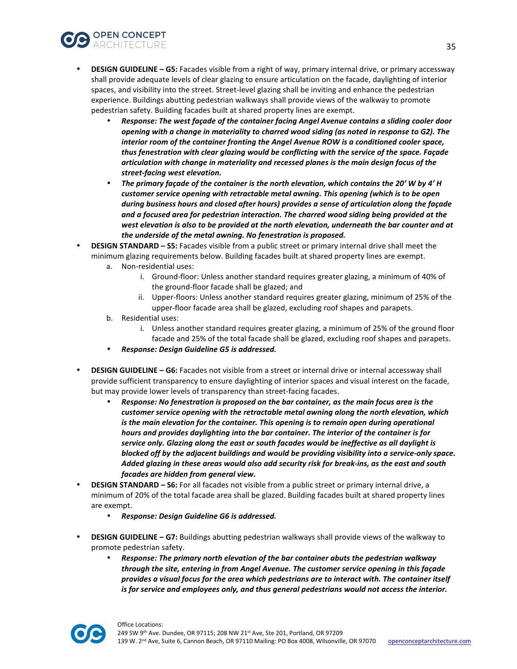![](_page_34_Picture_0.jpeg)

- **DESIGN GUIDELINE G5:** Facades visible from a right of way, primary internal drive, or primary accessway shall provide adequate levels of clear glazing to ensure articulation on the facade, daylighting of interior spaces, and visibility into the street. Street-level glazing shall be inviting and enhance the pedestrian experience. Buildings abutting pedestrian walkways shall provide views of the walkway to promote pedestrian safety. Building facades built at shared property lines are exempt.
	- *Response: The west façade of the container facing Angel Avenue contains a sliding cooler door opening with a change in materiality to charred wood siding (as noted in response to G2). The interior room of the container fronting the Angel Avenue ROW is a conditioned cooler space, thus fenestration with clear glazing would be conflicting with the service of the space. Façade articulation with change in materiality and recessed planes is the main design focus of the street-facing west elevation.*
	- *The primary façade of the container is the north elevation, which contains the 20' W by 4' H customer service opening with retractable metal awning. This opening (which is to be open during business hours and closed after hours) provides a sense of articulation along the façade and a focused area for pedestrian interaction. The charred wood siding being provided at the west elevation is also to be provided at the north elevation, underneath the bar counter and at the underside of the metal awning. No fenestration is proposed.*
- **DESIGN STANDARD S5:** Facades visible from a public street or primary internal drive shall meet the minimum glazing requirements below. Building facades built at shared property lines are exempt.
	- a. Non-residential uses:
		- i. Ground-floor: Unless another standard requires greater glazing, a minimum of 40% of the ground-floor facade shall be glazed; and
		- ii. Upper-floors: Unless another standard requires greater glazing, minimum of 25% of the upper-floor facade area shall be glazed, excluding roof shapes and parapets.
	- b. Residential uses:
		- i. Unless another standard requires greater glazing, a minimum of 25% of the ground floor facade and 25% of the total facade shall be glazed, excluding roof shapes and parapets.
	- *Response: Design Guideline G5 is addressed.*
- **DESIGN GUIDELINE G6:** Facades not visible from a street or internal drive or internal accessway shall provide sufficient transparency to ensure daylighting of interior spaces and visual interest on the facade, but may provide lower levels of transparency than street-facing facades.
	- *Response: No fenestration is proposed on the bar container, as the main focus area is the customer service opening with the retractable metal awning along the north elevation, which is the main elevation for the container. This opening is to remain open during operational hours and provides daylighting into the bar container. The interior of the container is for service only. Glazing along the east or south facades would be ineffective as all daylight is blocked off by the adjacent buildings and would be providing visibility into a service-only space. Added glazing in these areas would also add security risk for break-ins, as the east and south facades are hidden from general view.*
- **DESIGN STANDARD S6:** For all facades not visible from a public street or primary internal drive, a minimum of 20% of the total facade area shall be glazed. Building facades built at shared property lines are exempt.
	- *Response: Design Guideline G6 is addressed.*
- **DESIGN GUIDELINE G7:** Buildings abutting pedestrian walkways shall provide views of the walkway to promote pedestrian safety.
	- *Response: The primary north elevation of the bar container abuts the pedestrian walkway through the site, entering in from Angel Avenue. The customer service opening in this façade provides a visual focus for the area which pedestrians are to interact with. The container itself is for service and employees only, and thus general pedestrians would not access the interior.*

![](_page_34_Picture_17.jpeg)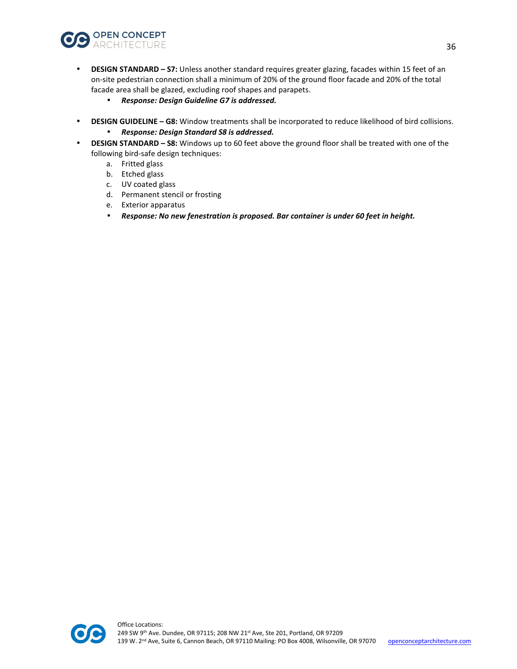![](_page_35_Picture_0.jpeg)

- **DESIGN STANDARD S7:** Unless another standard requires greater glazing, facades within 15 feet of an on-site pedestrian connection shall a minimum of 20% of the ground floor facade and 20% of the total facade area shall be glazed, excluding roof shapes and parapets.
	- *Response: Design Guideline G7 is addressed.*
- **DESIGN GUIDELINE G8:** Window treatments shall be incorporated to reduce likelihood of bird collisions.
	- *Response: Design Standard S8 is addressed.*
- **DESIGN STANDARD S8:** Windows up to 60 feet above the ground floor shall be treated with one of the following bird-safe design techniques:
	- a. Fritted glass
	- b. Etched glass
	- c. UV coated glass
	- d. Permanent stencil or frosting
	- e. Exterior apparatus
	- *Response: No new fenestration is proposed. Bar container is under 60 feet in height.*

![](_page_35_Picture_12.jpeg)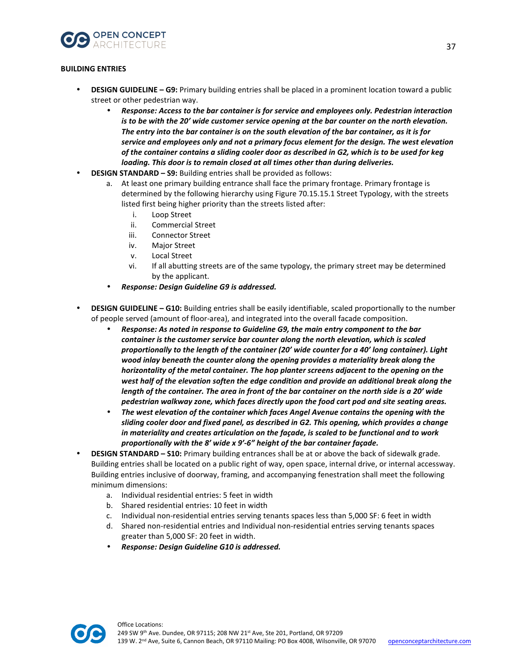![](_page_36_Picture_0.jpeg)

# **BUILDING ENTRIES**

- **DESIGN GUIDELINE G9:** Primary building entries shall be placed in a prominent location toward a public street or other pedestrian way.
	- *Response: Access to the bar container is for service and employees only. Pedestrian interaction is to be with the 20' wide customer service opening at the bar counter on the north elevation. The entry into the bar container is on the south elevation of the bar container, as it is for service and employees only and not a primary focus element for the design. The west elevation of the container contains a sliding cooler door as described in G2, which is to be used for keg loading. This door is to remain closed at all times other than during deliveries.*
- **DESIGN STANDARD S9:** Building entries shall be provided as follows:
	- a. At least one primary building entrance shall face the primary frontage. Primary frontage is determined by the following hierarchy using Figure 70.15.15.1 Street Typology, with the streets listed first being higher priority than the streets listed after:
		- i. Loop Street
		- ii. Commercial Street
		- iii. Connector Street
		- iv. Major Street
		- v. Local Street
		- vi. If all abutting streets are of the same typology, the primary street may be determined by the applicant.
	- *Response: Design Guideline G9 is addressed.*
- **DESIGN GUIDELINE G10:** Building entries shall be easily identifiable, scaled proportionally to the number of people served (amount of floor-area), and integrated into the overall facade composition.
	- *Response: As noted in response to Guideline G9, the main entry component to the bar container is the customer service bar counter along the north elevation, which is scaled proportionally to the length of the container (20' wide counter for a 40' long container). Light wood inlay beneath the counter along the opening provides a materiality break along the horizontality of the metal container. The hop planter screens adjacent to the opening on the west half of the elevation soften the edge condition and provide an additional break along the length of the container. The area in front of the bar container on the north side is a 20' wide pedestrian walkway zone, which faces directly upon the food cart pod and site seating areas.*
	- *The west elevation of the container which faces Angel Avenue contains the opening with the sliding cooler door and fixed panel, as described in G2. This opening, which provides a change in materiality and creates articulation on the façade, is scaled to be functional and to work proportionally with the 8' wide x 9'-6" height of the bar container façade.*
- **DESIGN STANDARD S10:** Primary building entrances shall be at or above the back of sidewalk grade. Building entries shall be located on a public right of way, open space, internal drive, or internal accessway. Building entries inclusive of doorway, framing, and accompanying fenestration shall meet the following minimum dimensions:
	- a. Individual residential entries: 5 feet in width
	- b. Shared residential entries: 10 feet in width
	- c. Individual non-residential entries serving tenants spaces less than 5,000 SF: 6 feet in width
	- d. Shared non-residential entries and Individual non-residential entries serving tenants spaces greater than 5,000 SF: 20 feet in width.
	- *Response: Design Guideline G10 is addressed.*

![](_page_36_Picture_22.jpeg)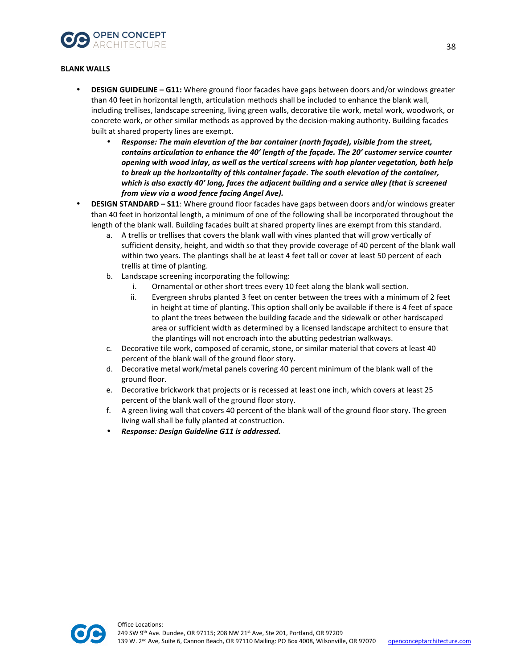![](_page_37_Picture_0.jpeg)

#### **BLANK WALLS**

- **DESIGN GUIDELINE G11:** Where ground floor facades have gaps between doors and/or windows greater than 40 feet in horizontal length, articulation methods shall be included to enhance the blank wall, including trellises, landscape screening, living green walls, decorative tile work, metal work, woodwork, or concrete work, or other similar methods as approved by the decision-making authority. Building facades built at shared property lines are exempt.
	- *Response: The main elevation of the bar container (north façade), visible from the street, contains articulation to enhance the 40' length of the façade. The 20' customer service counter opening with wood inlay, as well as the vertical screens with hop planter vegetation, both help to break up the horizontality of this container façade. The south elevation of the container, which is also exactly 40' long, faces the adjacent building and a service alley (that is screened from view via a wood fence facing Angel Ave).*
- **DESIGN STANDARD S11**: Where ground floor facades have gaps between doors and/or windows greater than 40 feet in horizontal length, a minimum of one of the following shall be incorporated throughout the length of the blank wall. Building facades built at shared property lines are exempt from this standard.
	- a. A trellis or trellises that covers the blank wall with vines planted that will grow vertically of sufficient density, height, and width so that they provide coverage of 40 percent of the blank wall within two years. The plantings shall be at least 4 feet tall or cover at least 50 percent of each trellis at time of planting.
	- b. Landscape screening incorporating the following:
		- i. Ornamental or other short trees every 10 feet along the blank wall section.
		- ii. Evergreen shrubs planted 3 feet on center between the trees with a minimum of 2 feet in height at time of planting. This option shall only be available if there is 4 feet of space to plant the trees between the building facade and the sidewalk or other hardscaped area or sufficient width as determined by a licensed landscape architect to ensure that the plantings will not encroach into the abutting pedestrian walkways.
	- c. Decorative tile work, composed of ceramic, stone, or similar material that covers at least 40 percent of the blank wall of the ground floor story.
	- d. Decorative metal work/metal panels covering 40 percent minimum of the blank wall of the ground floor.
	- e. Decorative brickwork that projects or is recessed at least one inch, which covers at least 25 percent of the blank wall of the ground floor story.
	- f. A green living wall that covers 40 percent of the blank wall of the ground floor story. The green living wall shall be fully planted at construction.
	- *Response: Design Guideline G11 is addressed.*

![](_page_37_Picture_14.jpeg)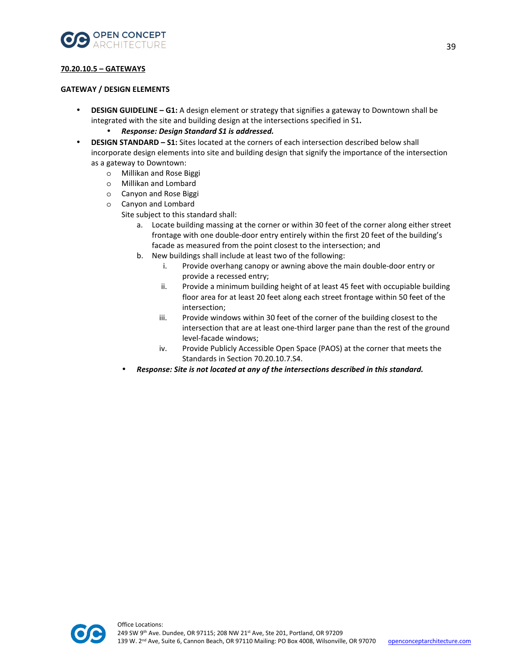![](_page_38_Picture_0.jpeg)

## **70.20.10.5 – GATEWAYS**

#### **GATEWAY / DESIGN ELEMENTS**

- **DESIGN GUIDELINE G1:** A design element or strategy that signifies a gateway to Downtown shall be integrated with the site and building design at the intersections specified in S1**.** 
	- *Response: Design Standard S1 is addressed.*
- **DESIGN STANDARD S1:** Sites located at the corners of each intersection described below shall incorporate design elements into site and building design that signify the importance of the intersection as a gateway to Downtown:
	- o Millikan and Rose Biggi
	- o Millikan and Lombard
	- o Canyon and Rose Biggi
	- o Canyon and Lombard

Site subject to this standard shall:

- a. Locate building massing at the corner or within 30 feet of the corner along either street frontage with one double-door entry entirely within the first 20 feet of the building's facade as measured from the point closest to the intersection; and
- b. New buildings shall include at least two of the following:
	- i. Provide overhang canopy or awning above the main double-door entry or provide a recessed entry;
	- ii. Provide a minimum building height of at least 45 feet with occupiable building floor area for at least 20 feet along each street frontage within 50 feet of the intersection;
	- iii. Provide windows within 30 feet of the corner of the building closest to the intersection that are at least one-third larger pane than the rest of the ground level-facade windows;
	- iv. Provide Publicly Accessible Open Space (PAOS) at the corner that meets the Standards in Section 70.20.10.7.S4.
- *Response: Site is not located at any of the intersections described in this standard.*

![](_page_38_Picture_18.jpeg)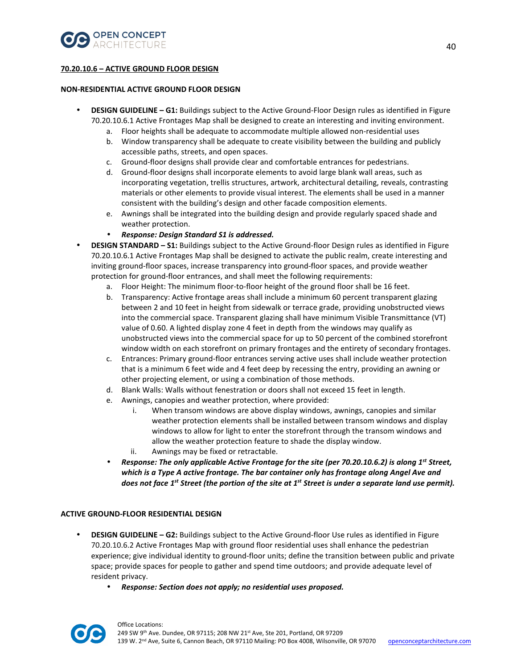![](_page_39_Picture_0.jpeg)

## **70.20.10.6 – ACTIVE GROUND FLOOR DESIGN**

#### **NON-RESIDENTIAL ACTIVE GROUND FLOOR DESIGN**

- **DESIGN GUIDELINE G1:** Buildings subject to the Active Ground-Floor Design rules as identified in Figure 70.20.10.6.1 Active Frontages Map shall be designed to create an interesting and inviting environment.
	- a. Floor heights shall be adequate to accommodate multiple allowed non-residential uses
	- b. Window transparency shall be adequate to create visibility between the building and publicly accessible paths, streets, and open spaces.
	- c. Ground-floor designs shall provide clear and comfortable entrances for pedestrians.
	- d. Ground-floor designs shall incorporate elements to avoid large blank wall areas, such as incorporating vegetation, trellis structures, artwork, architectural detailing, reveals, contrasting materials or other elements to provide visual interest. The elements shall be used in a manner consistent with the building's design and other facade composition elements.
	- e. Awnings shall be integrated into the building design and provide regularly spaced shade and weather protection.
	- *Response: Design Standard S1 is addressed.*
- **DESIGN STANDARD S1:** Buildings subject to the Active Ground-floor Design rules as identified in Figure 70.20.10.6.1 Active Frontages Map shall be designed to activate the public realm, create interesting and inviting ground-floor spaces, increase transparency into ground-floor spaces, and provide weather protection for ground-floor entrances, and shall meet the following requirements:
	- a. Floor Height: The minimum floor-to-floor height of the ground floor shall be 16 feet.
	- b. Transparency: Active frontage areas shall include a minimum 60 percent transparent glazing between 2 and 10 feet in height from sidewalk or terrace grade, providing unobstructed views into the commercial space. Transparent glazing shall have minimum Visible Transmittance (VT) value of 0.60. A lighted display zone 4 feet in depth from the windows may qualify as unobstructed views into the commercial space for up to 50 percent of the combined storefront window width on each storefront on primary frontages and the entirety of secondary frontages.
	- c. Entrances: Primary ground-floor entrances serving active uses shall include weather protection that is a minimum 6 feet wide and 4 feet deep by recessing the entry, providing an awning or other projecting element, or using a combination of those methods.
	- d. Blank Walls: Walls without fenestration or doors shall not exceed 15 feet in length.
	- e. Awnings, canopies and weather protection, where provided:
		- i. When transom windows are above display windows, awnings, canopies and similar weather protection elements shall be installed between transom windows and display windows to allow for light to enter the storefront through the transom windows and allow the weather protection feature to shade the display window.
		- ii. Awnings may be fixed or retractable.
	- **Response: The only applicable Active Frontage for the site (per 70.20.10.6.2) is along 1<sup>st</sup> Street,** *which is a Type A active frontage. The bar container only has frontage along Angel Ave and does not face 1st Street (the portion of the site at 1st Street is under a separate land use permit).*

#### **ACTIVE GROUND-FLOOR RESIDENTIAL DESIGN**

- **DESIGN GUIDELINE G2:** Buildings subject to the Active Ground-floor Use rules as identified in Figure 70.20.10.6.2 Active Frontages Map with ground floor residential uses shall enhance the pedestrian experience; give individual identity to ground-floor units; define the transition between public and private space; provide spaces for people to gather and spend time outdoors; and provide adequate level of resident privacy.
	- *Response: Section does not apply; no residential uses proposed.*

![](_page_39_Picture_22.jpeg)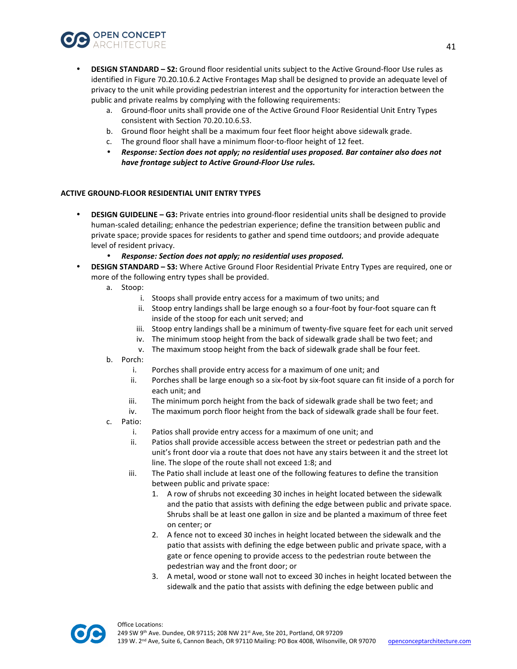![](_page_40_Picture_0.jpeg)

- **DESIGN STANDARD S2:** Ground floor residential units subject to the Active Ground-floor Use rules as identified in Figure 70.20.10.6.2 Active Frontages Map shall be designed to provide an adequate level of privacy to the unit while providing pedestrian interest and the opportunity for interaction between the public and private realms by complying with the following requirements:
	- a. Ground-floor units shall provide one of the Active Ground Floor Residential Unit Entry Types consistent with Section 70.20.10.6.S3.
	- b. Ground floor height shall be a maximum four feet floor height above sidewalk grade.
	- c. The ground floor shall have a minimum floor-to-floor height of 12 feet.
	- *Response: Section does not apply; no residential uses proposed. Bar container also does not have frontage subject to Active Ground-Floor Use rules.*

## **ACTIVE GROUND-FLOOR RESIDENTIAL UNIT ENTRY TYPES**

- **DESIGN GUIDELINE G3:** Private entries into ground-floor residential units shall be designed to provide human-scaled detailing; enhance the pedestrian experience; define the transition between public and private space; provide spaces for residents to gather and spend time outdoors; and provide adequate level of resident privacy.
	- *Response: Section does not apply; no residential uses proposed.*
- **DESIGN STANDARD S3:** Where Active Ground Floor Residential Private Entry Types are required, one or more of the following entry types shall be provided.
	- a. Stoop:
		- i. Stoops shall provide entry access for a maximum of two units; and
		- ii. Stoop entry landings shall be large enough so a four-foot by four-foot square can ft inside of the stoop for each unit served; and
		- iii. Stoop entry landings shall be a minimum of twenty-five square feet for each unit served
		- iv. The minimum stoop height from the back of sidewalk grade shall be two feet; and
		- v. The maximum stoop height from the back of sidewalk grade shall be four feet.
	- b. Porch:
		- i. Porches shall provide entry access for a maximum of one unit; and
		- ii. Porches shall be large enough so a six-foot by six-foot square can fit inside of a porch for each unit; and
		- iii. The minimum porch height from the back of sidewalk grade shall be two feet; and
		- iv. The maximum porch floor height from the back of sidewalk grade shall be four feet.
	- c. Patio:
		- i. Patios shall provide entry access for a maximum of one unit; and
		- ii. Patios shall provide accessible access between the street or pedestrian path and the unit's front door via a route that does not have any stairs between it and the street lot line. The slope of the route shall not exceed 1:8; and
		- iii. The Patio shall include at least one of the following features to define the transition between public and private space:
			- 1. A row of shrubs not exceeding 30 inches in height located between the sidewalk and the patio that assists with defining the edge between public and private space. Shrubs shall be at least one gallon in size and be planted a maximum of three feet on center; or
			- 2. A fence not to exceed 30 inches in height located between the sidewalk and the patio that assists with defining the edge between public and private space, with a gate or fence opening to provide access to the pedestrian route between the pedestrian way and the front door; or
			- 3. A metal, wood or stone wall not to exceed 30 inches in height located between the sidewalk and the patio that assists with defining the edge between public and

![](_page_40_Picture_28.jpeg)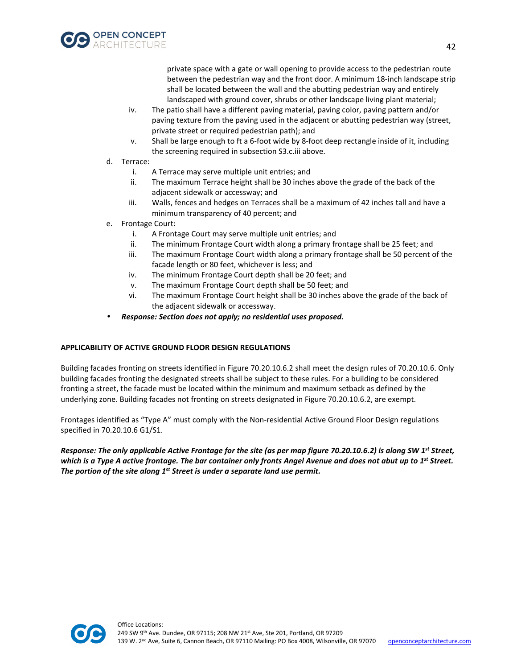![](_page_41_Picture_0.jpeg)

private space with a gate or wall opening to provide access to the pedestrian route between the pedestrian way and the front door. A minimum 18-inch landscape strip shall be located between the wall and the abutting pedestrian way and entirely landscaped with ground cover, shrubs or other landscape living plant material;

- iv. The patio shall have a different paving material, paving color, paving pattern and/or paving texture from the paving used in the adjacent or abutting pedestrian way (street, private street or required pedestrian path); and
- v. Shall be large enough to ft a 6-foot wide by 8-foot deep rectangle inside of it, including the screening required in subsection S3.c.iii above.
- d. Terrace:
	- i. A Terrace may serve multiple unit entries; and
	- ii. The maximum Terrace height shall be 30 inches above the grade of the back of the adjacent sidewalk or accessway; and
	- iii. Walls, fences and hedges on Terraces shall be a maximum of 42 inches tall and have a minimum transparency of 40 percent; and
- e. Frontage Court:
	- i. A Frontage Court may serve multiple unit entries; and
	- ii. The minimum Frontage Court width along a primary frontage shall be 25 feet; and
	- iii. The maximum Frontage Court width along a primary frontage shall be 50 percent of the facade length or 80 feet, whichever is less; and
	- iv. The minimum Frontage Court depth shall be 20 feet; and
	- v. The maximum Frontage Court depth shall be 50 feet; and
	- vi. The maximum Frontage Court height shall be 30 inches above the grade of the back of the adjacent sidewalk or accessway.
- *Response: Section does not apply; no residential uses proposed.*

#### **APPLICABILITY OF ACTIVE GROUND FLOOR DESIGN REGULATIONS**

Building facades fronting on streets identified in Figure 70.20.10.6.2 shall meet the design rules of 70.20.10.6. Only building facades fronting the designated streets shall be subject to these rules. For a building to be considered fronting a street, the facade must be located within the minimum and maximum setback as defined by the underlying zone. Building facades not fronting on streets designated in Figure 70.20.10.6.2, are exempt.

Frontages identified as "Type A" must comply with the Non-residential Active Ground Floor Design regulations specified in 70.20.10.6 G1/S1.

*Response: The only applicable Active Frontage for the site (as per map figure 70.20.10.6.2) is along SW 1st Street, which is a Type A active frontage. The bar container only fronts Angel Avenue and does not abut up to 1 st Street. The portion of the site along 1st Street is under a separate land use permit.* 

![](_page_41_Picture_20.jpeg)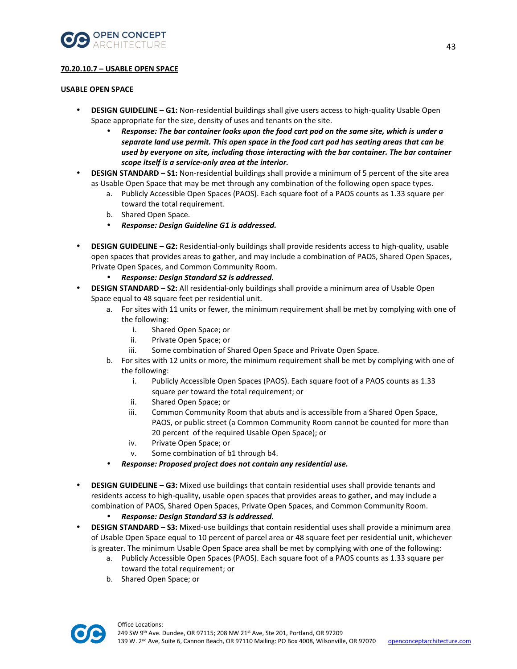![](_page_42_Picture_0.jpeg)

## **70.20.10.7 – USABLE OPEN SPACE**

#### **USABLE OPEN SPACE**

- **DESIGN GUIDELINE G1:** Non-residential buildings shall give users access to high-quality Usable Open Space appropriate for the size, density of uses and tenants on the site.
	- *Response: The bar container looks upon the food cart pod on the same site, which is under a separate land use permit. This open space in the food cart pod has seating areas that can be used by everyone on site, including those interacting with the bar container. The bar container scope itself is a service-only area at the interior.*
- **DESIGN STANDARD S1:** Non-residential buildings shall provide a minimum of 5 percent of the site area as Usable Open Space that may be met through any combination of the following open space types.
	- a. Publicly Accessible Open Spaces (PAOS). Each square foot of a PAOS counts as 1.33 square per toward the total requirement.
	- b. Shared Open Space.
	- *Response: Design Guideline G1 is addressed.*
- **DESIGN GUIDELINE G2:** Residential-only buildings shall provide residents access to high-quality, usable open spaces that provides areas to gather, and may include a combination of PAOS, Shared Open Spaces, Private Open Spaces, and Common Community Room.
	- *Response: Design Standard S2 is addressed.*
- **DESIGN STANDARD S2:** All residential-only buildings shall provide a minimum area of Usable Open Space equal to 48 square feet per residential unit.
	- a. For sites with 11 units or fewer, the minimum requirement shall be met by complying with one of the following:
		- i. Shared Open Space; or
		- ii. Private Open Space; or
		- iii. Some combination of Shared Open Space and Private Open Space.
	- b. For sites with 12 units or more, the minimum requirement shall be met by complying with one of the following:
		- i. Publicly Accessible Open Spaces (PAOS). Each square foot of a PAOS counts as 1.33 square per toward the total requirement; or
		- ii. Shared Open Space; or
		- iii. Common Community Room that abuts and is accessible from a Shared Open Space, PAOS, or public street (a Common Community Room cannot be counted for more than 20 percent of the required Usable Open Space); or
		- iv. Private Open Space; or
		- v. Some combination of b1 through b4.
		- *Response: Proposed project does not contain any residential use.*
- **DESIGN GUIDELINE G3:** Mixed use buildings that contain residential uses shall provide tenants and residents access to high-quality, usable open spaces that provides areas to gather, and may include a combination of PAOS, Shared Open Spaces, Private Open Spaces, and Common Community Room.
	- *Response: Design Standard S3 is addressed.*
- **DESIGN STANDARD S3:** Mixed-use buildings that contain residential uses shall provide a minimum area of Usable Open Space equal to 10 percent of parcel area or 48 square feet per residential unit, whichever is greater. The minimum Usable Open Space area shall be met by complying with one of the following:
	- a. Publicly Accessible Open Spaces (PAOS). Each square foot of a PAOS counts as 1.33 square per toward the total requirement; or
	- b. Shared Open Space; or

![](_page_42_Picture_28.jpeg)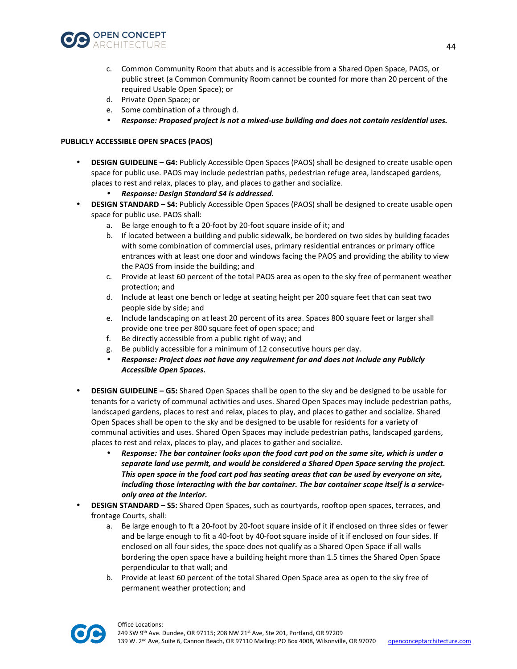![](_page_43_Picture_0.jpeg)

- c. Common Community Room that abuts and is accessible from a Shared Open Space, PAOS, or public street (a Common Community Room cannot be counted for more than 20 percent of the required Usable Open Space); or
- d. Private Open Space; or
- e. Some combination of a through d.
- *Response: Proposed project is not a mixed-use building and does not contain residential uses.*

## **PUBLICLY ACCESSIBLE OPEN SPACES (PAOS)**

• **DESIGN GUIDELINE – G4:** Publicly Accessible Open Spaces (PAOS) shall be designed to create usable open space for public use. PAOS may include pedestrian paths, pedestrian refuge area, landscaped gardens, places to rest and relax, places to play, and places to gather and socialize.

## • *Response: Design Standard S4 is addressed.*

- **DESIGN STANDARD S4:** Publicly Accessible Open Spaces (PAOS) shall be designed to create usable open space for public use. PAOS shall:
	- a. Be large enough to ft a 20-foot by 20-foot square inside of it; and
	- b. If located between a building and public sidewalk, be bordered on two sides by building facades with some combination of commercial uses, primary residential entrances or primary office entrances with at least one door and windows facing the PAOS and providing the ability to view the PAOS from inside the building; and
	- c. Provide at least 60 percent of the total PAOS area as open to the sky free of permanent weather protection; and
	- d. Include at least one bench or ledge at seating height per 200 square feet that can seat two people side by side; and
	- e. Include landscaping on at least 20 percent of its area. Spaces 800 square feet or larger shall provide one tree per 800 square feet of open space; and
	- f. Be directly accessible from a public right of way; and
	- g. Be publicly accessible for a minimum of 12 consecutive hours per day.
	- *Response: Project does not have any requirement for and does not include any Publicly Accessible Open Spaces.*
- **DESIGN GUIDELINE G5:** Shared Open Spaces shall be open to the sky and be designed to be usable for tenants for a variety of communal activities and uses. Shared Open Spaces may include pedestrian paths, landscaped gardens, places to rest and relax, places to play, and places to gather and socialize. Shared Open Spaces shall be open to the sky and be designed to be usable for residents for a variety of communal activities and uses. Shared Open Spaces may include pedestrian paths, landscaped gardens, places to rest and relax, places to play, and places to gather and socialize.
	- *Response: The bar container looks upon the food cart pod on the same site, which is under a separate land use permit, and would be considered a Shared Open Space serving the project. This open space in the food cart pod has seating areas that can be used by everyone on site, including those interacting with the bar container. The bar container scope itself is a serviceonly area at the interior.*
- **DESIGN STANDARD S5:** Shared Open Spaces, such as courtyards, rooftop open spaces, terraces, and frontage Courts, shall:
	- a. Be large enough to ft a 20-foot by 20-foot square inside of it if enclosed on three sides or fewer and be large enough to fit a 40-foot by 40-foot square inside of it if enclosed on four sides. If enclosed on all four sides, the space does not qualify as a Shared Open Space if all walls bordering the open space have a building height more than 1.5 times the Shared Open Space perpendicular to that wall; and
	- b. Provide at least 60 percent of the total Shared Open Space area as open to the sky free of permanent weather protection; and

![](_page_43_Picture_22.jpeg)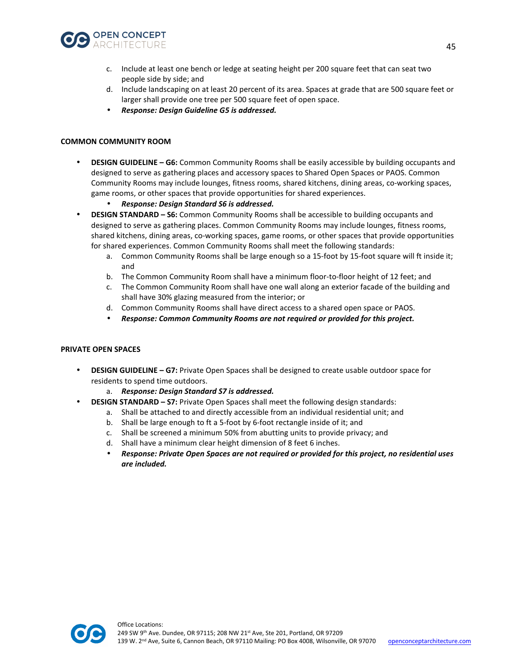![](_page_44_Picture_0.jpeg)

- c. Include at least one bench or ledge at seating height per 200 square feet that can seat two people side by side; and
- d. Include landscaping on at least 20 percent of its area. Spaces at grade that are 500 square feet or larger shall provide one tree per 500 square feet of open space.
- *Response: Design Guideline G5 is addressed.*

#### **COMMON COMMUNITY ROOM**

- **DESIGN GUIDELINE G6:** Common Community Rooms shall be easily accessible by building occupants and designed to serve as gathering places and accessory spaces to Shared Open Spaces or PAOS. Common Community Rooms may include lounges, fitness rooms, shared kitchens, dining areas, co-working spaces, game rooms, or other spaces that provide opportunities for shared experiences.
	- *Response: Design Standard S6 is addressed.*
- **DESIGN STANDARD S6:** Common Community Rooms shall be accessible to building occupants and designed to serve as gathering places. Common Community Rooms may include lounges, fitness rooms, shared kitchens, dining areas, co-working spaces, game rooms, or other spaces that provide opportunities for shared experiences. Common Community Rooms shall meet the following standards:
	- a. Common Community Rooms shall be large enough so a 15-foot by 15-foot square will ft inside it; and
	- b. The Common Community Room shall have a minimum floor-to-floor height of 12 feet; and
	- c. The Common Community Room shall have one wall along an exterior facade of the building and shall have 30% glazing measured from the interior; or
	- d. Common Community Rooms shall have direct access to a shared open space or PAOS.
	- *Response: Common Community Rooms are not required or provided for this project.*

#### **PRIVATE OPEN SPACES**

- **DESIGN GUIDELINE G7:** Private Open Spaces shall be designed to create usable outdoor space for residents to spend time outdoors.
	- a. *Response: Design Standard S7 is addressed.*
- **DESIGN STANDARD S7:** Private Open Spaces shall meet the following design standards:
	- a. Shall be attached to and directly accessible from an individual residential unit; and
	- b. Shall be large enough to ft a 5-foot by 6-foot rectangle inside of it; and
	- c. Shall be screened a minimum 50% from abutting units to provide privacy; and
	- d. Shall have a minimum clear height dimension of 8 feet 6 inches.
	- *Response: Private Open Spaces are not required or provided for this project, no residential uses are included.*

![](_page_44_Picture_22.jpeg)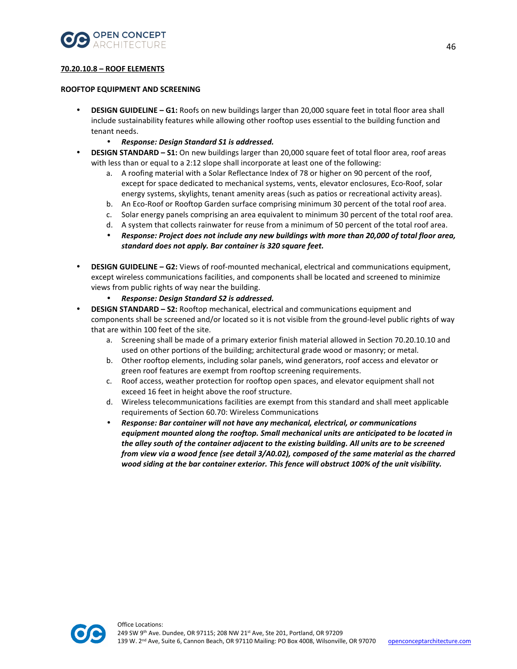![](_page_45_Picture_0.jpeg)

## **70.20.10.8 – ROOF ELEMENTS**

#### **ROOFTOP EQUIPMENT AND SCREENING**

- **DESIGN GUIDELINE G1:** Roofs on new buildings larger than 20,000 square feet in total floor area shall include sustainability features while allowing other rooftop uses essential to the building function and tenant needs.
	- *Response: Design Standard S1 is addressed.*
- **DESIGN STANDARD S1:** On new buildings larger than 20,000 square feet of total floor area, roof areas with less than or equal to a 2:12 slope shall incorporate at least one of the following:
	- a. A roofing material with a Solar Reflectance Index of 78 or higher on 90 percent of the roof, except for space dedicated to mechanical systems, vents, elevator enclosures, Eco-Roof, solar energy systems, skylights, tenant amenity areas (such as patios or recreational activity areas).
	- b. An Eco-Roof or Rooftop Garden surface comprising minimum 30 percent of the total roof area.
	- c. Solar energy panels comprising an area equivalent to minimum 30 percent of the total roof area.
	- d. A system that collects rainwater for reuse from a minimum of 50 percent of the total roof area.
	- *Response: Project does not include any new buildings with more than 20,000 of total floor area, standard does not apply. Bar container is 320 square feet.*
- **DESIGN GUIDELINE G2:** Views of roof-mounted mechanical, electrical and communications equipment, except wireless communications facilities, and components shall be located and screened to minimize views from public rights of way near the building.
	- *Response: Design Standard S2 is addressed.*
- **DESIGN STANDARD S2:** Rooftop mechanical, electrical and communications equipment and components shall be screened and/or located so it is not visible from the ground-level public rights of way that are within 100 feet of the site.
	- a. Screening shall be made of a primary exterior finish material allowed in Section 70.20.10.10 and used on other portions of the building; architectural grade wood or masonry; or metal.
	- b. Other rooftop elements, including solar panels, wind generators, roof access and elevator or green roof features are exempt from rooftop screening requirements.
	- c. Roof access, weather protection for rooftop open spaces, and elevator equipment shall not exceed 16 feet in height above the roof structure.
	- d. Wireless telecommunications facilities are exempt from this standard and shall meet applicable requirements of Section 60.70: Wireless Communications
	- *Response: Bar container will not have any mechanical, electrical, or communications equipment mounted along the rooftop. Small mechanical units are anticipated to be located in the alley south of the container adjacent to the existing building. All units are to be screened from view via a wood fence (see detail 3/A0.02), composed of the same material as the charred wood siding at the bar container exterior. This fence will obstruct 100% of the unit visibility.*

![](_page_45_Picture_19.jpeg)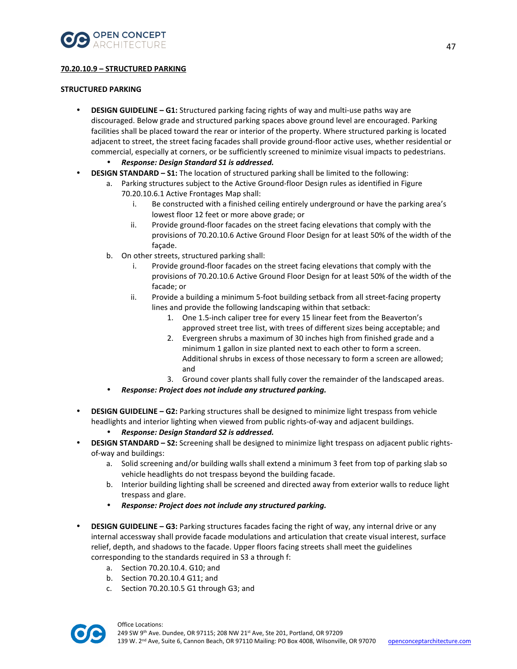![](_page_46_Picture_0.jpeg)

## **70.20.10.9 – STRUCTURED PARKING**

## **STRUCTURED PARKING**

- **DESIGN GUIDELINE G1:** Structured parking facing rights of way and multi-use paths way are discouraged. Below grade and structured parking spaces above ground level are encouraged. Parking facilities shall be placed toward the rear or interior of the property. Where structured parking is located adjacent to street, the street facing facades shall provide ground-floor active uses, whether residential or commercial, especially at corners, or be sufficiently screened to minimize visual impacts to pedestrians.
	- *Response: Design Standard S1 is addressed.*
- **DESIGN STANDARD S1:** The location of structured parking shall be limited to the following:
	- a. Parking structures subject to the Active Ground-floor Design rules as identified in Figure 70.20.10.6.1 Active Frontages Map shall:
		- i. Be constructed with a finished ceiling entirely underground or have the parking area's lowest floor 12 feet or more above grade; or
		- ii. Provide ground-floor facades on the street facing elevations that comply with the provisions of 70.20.10.6 Active Ground Floor Design for at least 50% of the width of the façade.
	- b. On other streets, structured parking shall:
		- i. Provide ground-floor facades on the street facing elevations that comply with the provisions of 70.20.10.6 Active Ground Floor Design for at least 50% of the width of the facade; or
		- ii. Provide a building a minimum 5-foot building setback from all street-facing property lines and provide the following landscaping within that setback:
			- 1. One 1.5-inch caliper tree for every 15 linear feet from the Beaverton's approved street tree list, with trees of different sizes being acceptable; and
			- 2. Evergreen shrubs a maximum of 30 inches high from finished grade and a minimum 1 gallon in size planted next to each other to form a screen. Additional shrubs in excess of those necessary to form a screen are allowed; and
			- 3. Ground cover plants shall fully cover the remainder of the landscaped areas.
	- *Response: Project does not include any structured parking.*
- **DESIGN GUIDELINE G2:** Parking structures shall be designed to minimize light trespass from vehicle headlights and interior lighting when viewed from public rights-of-way and adjacent buildings.
	- *Response: Design Standard S2 is addressed.*
- **DESIGN STANDARD S2:** Screening shall be designed to minimize light trespass on adjacent public rightsof-way and buildings:
	- a. Solid screening and/or building walls shall extend a minimum 3 feet from top of parking slab so vehicle headlights do not trespass beyond the building facade.
	- b. Interior building lighting shall be screened and directed away from exterior walls to reduce light trespass and glare.
	- *Response: Project does not include any structured parking.*
- **DESIGN GUIDELINE G3:** Parking structures facades facing the right of way, any internal drive or any internal accessway shall provide facade modulations and articulation that create visual interest, surface relief, depth, and shadows to the facade. Upper floors facing streets shall meet the guidelines corresponding to the standards required in S3 a through f:
	- a. Section 70.20.10.4. G10; and
	- b. Section 70.20.10.4 G11; and
	- c. Section 70.20.10.5 G1 through G3; and

![](_page_46_Picture_26.jpeg)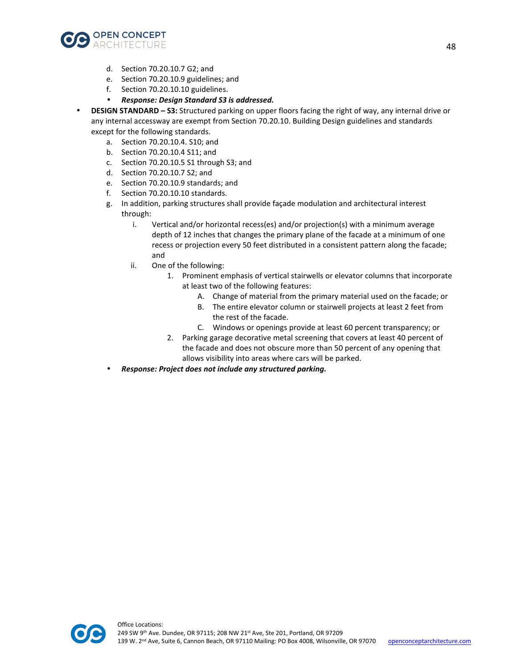![](_page_47_Picture_0.jpeg)

- d. Section 70.20.10.7 G2; and
- e. Section 70.20.10.9 guidelines; and
- f. Section 70.20.10.10 guidelines.
- *Response: Design Standard S3 is addressed.*
- **DESIGN STANDARD S3:** Structured parking on upper floors facing the right of way, any internal drive or any internal accessway are exempt from Section 70.20.10. Building Design guidelines and standards except for the following standards.
	- a. Section 70.20.10.4. S10; and
	- b. Section 70.20.10.4 S11; and
	- c. Section 70.20.10.5 S1 through S3; and
	- d. Section 70.20.10.7 S2; and
	- e. Section 70.20.10.9 standards; and
	- f. Section 70.20.10.10 standards.
	- g. In addition, parking structures shall provide façade modulation and architectural interest through:
		- i. Vertical and/or horizontal recess(es) and/or projection(s) with a minimum average depth of 12 inches that changes the primary plane of the facade at a minimum of one recess or projection every 50 feet distributed in a consistent pattern along the facade; and
		- ii. One of the following:
			- 1. Prominent emphasis of vertical stairwells or elevator columns that incorporate at least two of the following features:
				- A. Change of material from the primary material used on the facade; or
				- B. The entire elevator column or stairwell projects at least 2 feet from the rest of the facade.
				- C. Windows or openings provide at least 60 percent transparency; or
			- 2. Parking garage decorative metal screening that covers at least 40 percent of the facade and does not obscure more than 50 percent of any opening that allows visibility into areas where cars will be parked.
	- *Response: Project does not include any structured parking.*

![](_page_47_Picture_21.jpeg)